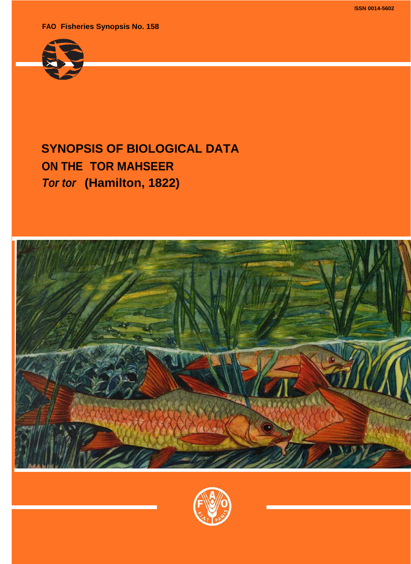**ISSN 0014-5602**

<span id="page-0-0"></span>**FAO Fisheries Synopsis No. 158**



# **SYNOPSIS OF BIOLOGICAL DATA ON THE TOR MAHSEER** *Tor tor* **(Hamilton, 1822)**



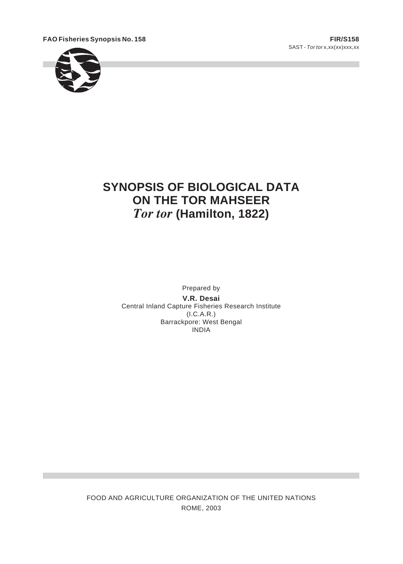<span id="page-1-0"></span>**FAO Fish eries Syn op sis No. 158 FIR/S158**





# **SYNOPSIS OF BIOLOGICAL DATA ON THE TOR MAHSEER Tor tor (Hamilton, 1822)**

Prepared by **V.R. Desai** Central Inland Capture Fisheries Research Institute  $(I.C.A.R.)$ Barrackpore: West Bengal **INDIA** 

FOOD AND AGRICULTURE ORGANIZATION OF THE UNITED NATIONS ROME, 2003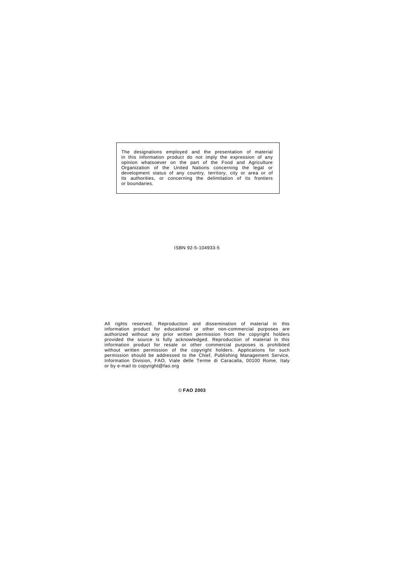<span id="page-2-0"></span>The designations employed and the presentation of material in this information product do not imply the expression of any opinion whatsoever on the part of the Food and Agriculture Organization of the United Nations concerning the legal or development status of any country, territory, city or area or of its authorities, or concerning the delimitation of its frontiers or boundaries.

ISBN 92-5-104933-5

All rights reserved. Reproduction and dissemination of material in this information product for educational or other non-commercial purposes are authorized without any prior written permission from the copyright holders provided the source is fully acknowledged. Reproduction of material in this information product for resale or other commercial purposes is prohibited without written permission of the copyright holders. Applications for such permission should be addressed to the Chief, Publishing Management Service, Information Division, FAO, Viale delle Terme di Caracalla, 00100 Rome, Italy or by e-mail to copyright@fao.org

© **FAO 2003**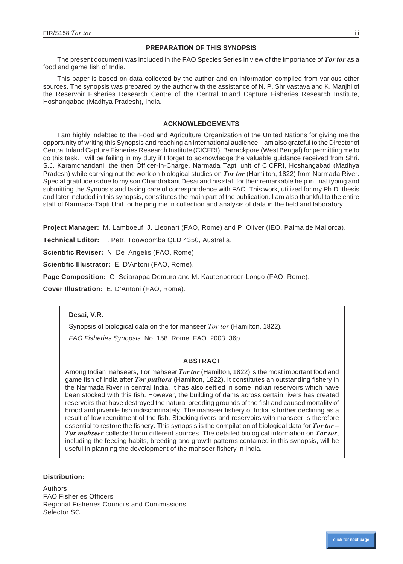# **PREPARATION OF THIS SYNOPSIS**

<span id="page-3-0"></span>The present document was included in the FAO Species Series in view of the importance of *Tor tor* as a food and game fish of India.

This paper is based on data collected by the author and on information compiled from various other sources. The synopsis was prepared by the author with the assistance of N. P. Shrivastava and K. Manjhi of the Reservoir Fisheries Research Centre of the Central Inland Capture Fisheries Research Institute, Hoshangabad (Madhya Pradesh), India.

# **AC KNOWL EDGE MENTS**

I am highly indebted to the Food and Agriculture Organization of the United Nations for giving me the opportunity of writing this Synopsis and reaching an international audience. I am also grateful to the Director of Central Inland Capture Fisheries Research Institute (CICFRI), Barrackpore (West Bengal) for permitting me to do this task. I will be failing in my duty if I forget to acknowledge the valuable guidance received from Shri. S.J. Karamchandani, the then Officer-In-Charge, Narmada Tapti unit of CICFRI, Hoshangabad (Madhya Pradesh) while carrying out the work on biological studies on *Tor tor* (Hamilton, 1822) from Narmada River. Special gratitude is due to my son Chandrakant Desai and his staff for their remarkable help in final typing and submitting the Synopsis and taking care of correspondence with FAO. This work, utilized for my Ph.D. thesis and later included in this synopsis, constitutes the main part of the publication. I am also thankful to the entire staff of Narmada-Tapti Unit for helping me in collection and analysis of data in the field and laboratory.

**Project Manager:** M. Lamboeuf, J. Lleonart (FAO, Rome) and P. Oliver (IEO, Palma de Mallorca).

Technical Editor: T. Petr, Toowoomba QLD 4350, Australia.

Scientific Reviser: N. De Angelis (FAO, Rome).

**Scientific Illustrator:** E. D'Antoni (FAO, Rome).

**Page Composition:** G. Sciarappa Demuro and M. Kautenberger-Longo (FAO, Rome).

**Cover Illustration:** E. D'Antoni (FAO, Rome).

# **Desai, V.R.**

Synopsis of biological data on the tor mahseer *Tor tor* (Hamilton, 1822).

*FAO Fisheries Synopsis.* No. 158. Rome, FAO. 2003. 36p.

# **AB STRACT**

Among Indian mahseers, Tor mahseer *Tor tor* (Hamilton, 1822) is the most important food and game fish of India after *Tor putitora* (Hamilton, 1822). It constitutes an outstanding fishery in the Narmada River in central India. It has also settled in some Indian reservoirs which have been stocked with this fish. However, the building of dams across certain rivers has created reservoirs that have destroyed the natural breeding grounds of the fish and caused mortality of brood and juvenile fish indiscriminately. The mahseer fishery of India is further declining as a result of low recruitment of the fish. Stocking rivers and reservoirs with mahseer is therefore essential to restore the fishery. This synopsis is the compilation of biological data for *Tor tor* – *Tor mahseer* collected from different sources. The detailed biological information on *Tor tor*, including the feeding habits, breeding and growth patterns contained in this synopsis, will be useful in planning the development of the mahseer fishery in India.

# **Distribution:**

**Authors FAO Fisheries Officers** Regional Fisheries Councils and Commissions Selector SC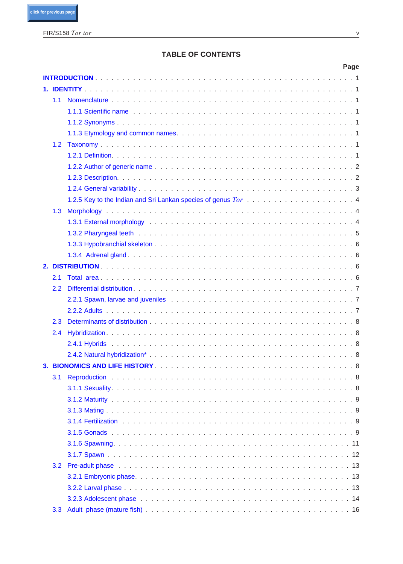# **TABLE OF CONTENTS**

|     |                                                                                                                                                                                                                                      | Page |
|-----|--------------------------------------------------------------------------------------------------------------------------------------------------------------------------------------------------------------------------------------|------|
|     |                                                                                                                                                                                                                                      |      |
|     |                                                                                                                                                                                                                                      |      |
| 1.1 |                                                                                                                                                                                                                                      |      |
|     | 1.1.1 Scientific name <b>contract to the Contract of Contract Contract Contract Contract Contract Contract Contract Contract Contract Contract Contract Contract Contract Contract Contract Contract Contract Contract Contract </b> |      |
|     |                                                                                                                                                                                                                                      |      |
|     |                                                                                                                                                                                                                                      |      |
| 1.2 |                                                                                                                                                                                                                                      |      |
|     |                                                                                                                                                                                                                                      |      |
|     |                                                                                                                                                                                                                                      |      |
|     |                                                                                                                                                                                                                                      |      |
|     |                                                                                                                                                                                                                                      |      |
|     |                                                                                                                                                                                                                                      |      |
| 1.3 |                                                                                                                                                                                                                                      |      |
|     | 1.3.1 External morphology (and all and all and all and all and all and all and all and all and all and all and                                                                                                                       |      |
|     |                                                                                                                                                                                                                                      |      |
|     |                                                                                                                                                                                                                                      |      |
|     |                                                                                                                                                                                                                                      |      |
|     |                                                                                                                                                                                                                                      |      |
| 2.1 |                                                                                                                                                                                                                                      |      |
| 2.2 |                                                                                                                                                                                                                                      |      |
|     |                                                                                                                                                                                                                                      |      |
|     |                                                                                                                                                                                                                                      |      |
| 2.3 |                                                                                                                                                                                                                                      |      |
| 2.4 |                                                                                                                                                                                                                                      |      |
|     |                                                                                                                                                                                                                                      |      |
|     |                                                                                                                                                                                                                                      |      |
|     |                                                                                                                                                                                                                                      |      |
| 3.1 |                                                                                                                                                                                                                                      |      |
|     |                                                                                                                                                                                                                                      |      |
|     |                                                                                                                                                                                                                                      |      |
|     |                                                                                                                                                                                                                                      |      |
|     |                                                                                                                                                                                                                                      |      |
|     |                                                                                                                                                                                                                                      |      |
|     |                                                                                                                                                                                                                                      |      |
|     |                                                                                                                                                                                                                                      |      |
| 3.2 |                                                                                                                                                                                                                                      |      |
|     |                                                                                                                                                                                                                                      |      |
|     |                                                                                                                                                                                                                                      |      |
|     |                                                                                                                                                                                                                                      |      |
| 3.3 |                                                                                                                                                                                                                                      |      |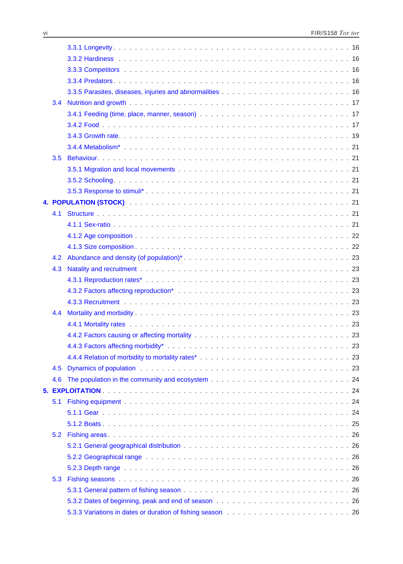<span id="page-5-0"></span>

| 3.4 |                                                                                                                                                                                                                               |  |
|-----|-------------------------------------------------------------------------------------------------------------------------------------------------------------------------------------------------------------------------------|--|
|     |                                                                                                                                                                                                                               |  |
|     |                                                                                                                                                                                                                               |  |
|     |                                                                                                                                                                                                                               |  |
|     |                                                                                                                                                                                                                               |  |
| 3.5 |                                                                                                                                                                                                                               |  |
|     |                                                                                                                                                                                                                               |  |
|     |                                                                                                                                                                                                                               |  |
|     |                                                                                                                                                                                                                               |  |
|     |                                                                                                                                                                                                                               |  |
| 4.1 |                                                                                                                                                                                                                               |  |
|     |                                                                                                                                                                                                                               |  |
|     |                                                                                                                                                                                                                               |  |
|     |                                                                                                                                                                                                                               |  |
| 4.2 |                                                                                                                                                                                                                               |  |
| 4.3 |                                                                                                                                                                                                                               |  |
|     |                                                                                                                                                                                                                               |  |
|     |                                                                                                                                                                                                                               |  |
|     |                                                                                                                                                                                                                               |  |
| 4.4 |                                                                                                                                                                                                                               |  |
|     |                                                                                                                                                                                                                               |  |
|     | 4.4.2 Factors causing or affecting mortality entering in the set of the set of the set of the set of the set of the set of the set of the set of the set of the set of the set of the set of the set of the set of the set of |  |
|     |                                                                                                                                                                                                                               |  |
|     |                                                                                                                                                                                                                               |  |
| 4.5 |                                                                                                                                                                                                                               |  |
| 4.6 |                                                                                                                                                                                                                               |  |
|     |                                                                                                                                                                                                                               |  |
| 5.1 |                                                                                                                                                                                                                               |  |
|     |                                                                                                                                                                                                                               |  |
|     |                                                                                                                                                                                                                               |  |
| 5.2 |                                                                                                                                                                                                                               |  |
|     |                                                                                                                                                                                                                               |  |
|     |                                                                                                                                                                                                                               |  |
|     |                                                                                                                                                                                                                               |  |
| 5.3 |                                                                                                                                                                                                                               |  |
|     |                                                                                                                                                                                                                               |  |
|     |                                                                                                                                                                                                                               |  |
|     |                                                                                                                                                                                                                               |  |
|     |                                                                                                                                                                                                                               |  |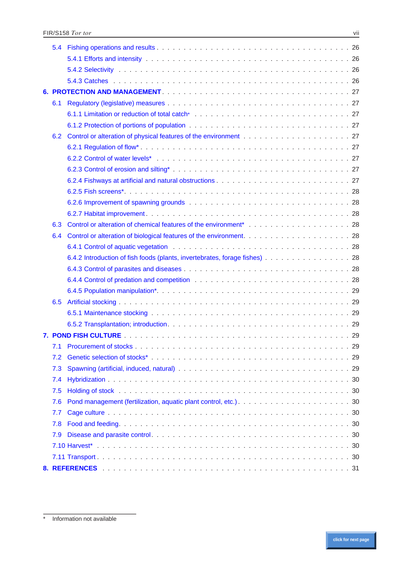<span id="page-6-0"></span>

| 5.4 |                                                                            |
|-----|----------------------------------------------------------------------------|
|     |                                                                            |
|     |                                                                            |
|     |                                                                            |
|     |                                                                            |
| 6.1 |                                                                            |
|     |                                                                            |
|     |                                                                            |
| 6.2 |                                                                            |
|     |                                                                            |
|     |                                                                            |
|     |                                                                            |
|     |                                                                            |
|     |                                                                            |
|     |                                                                            |
|     |                                                                            |
| 6.3 |                                                                            |
| 6.4 |                                                                            |
|     |                                                                            |
|     | 6.4.2 Introduction of fish foods (plants, invertebrates, forage fishes) 28 |
|     |                                                                            |
|     |                                                                            |
|     |                                                                            |
| 6.5 |                                                                            |
|     |                                                                            |
|     |                                                                            |
|     | 29<br><b>7 POND FISH CULTURE</b>                                           |
| 7.1 |                                                                            |
| 7.2 |                                                                            |
| 7.3 |                                                                            |
| 7.4 |                                                                            |
| 7.5 |                                                                            |
| 7.6 |                                                                            |
| 7.7 |                                                                            |
| 7.8 |                                                                            |
| 7.9 |                                                                            |
|     |                                                                            |
|     |                                                                            |
|     |                                                                            |

<sup>\*</sup> Information not available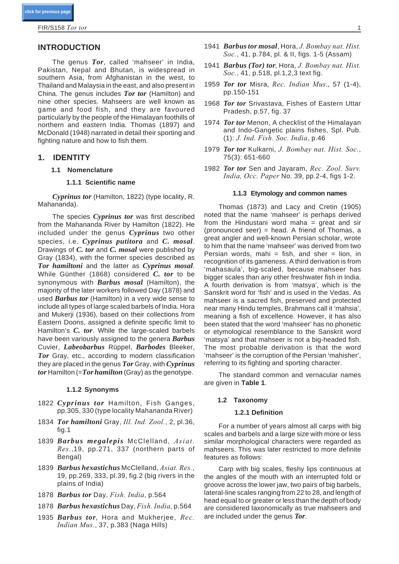# <span id="page-7-0"></span>**INTRODUCTION**

The genus *Tor*, called 'mahseer' in India, Pakistan, Nepal and Bhutan, is widespread in southern Asia, from Afghanistan in the west, to Thailand and Malaysia in the east, and also present in China. The genus includes *Tor tor* (Hamilton) and nine other species. Mahseers are well known as game and food fish, and they are favoured particularly by the people of the Himalayan foothills of northern and eastern India. Thomas (1897) and McDonald (1948) narrated in detail their sporting and fighting nature and how to fish them.

# **1. IDENTITY**

## **1.1 Nomenclature**

#### **1.1.1 Scientific name**

*Cyprinus tor* (Hamilton, 1822) (type locality, R. Mahananda).

The species *Cyprinus tor* was first described from the Mahananda River by Hamilton (1822). He included under the genus *Cyprinus* two other species, i.e. *Cyprinus putitora* and *C. mosal*. Drawings of *C. tor* and *C. mosal* were published by Gray (1834), with the former species described as *Tor hamiltoni* and the latter as *Cyprinus mosal*. While Günther (1868) considered *C. tor* to be synonymous with *Barbus mosal* (Hamilton), the majority of the later workers followed Day (1878) and used *Barbus tor* (Hamilton) in a very wide sense to include all types of large scaled barbels of India. Hora and Mukerji (1936), based on their collections from Eastern Doons, assigned a definite specific limit to Hamilton's *C. tor*. While the large-scaled barbels have been variously assigned to the genera *Barbus* Cuvier, *Labeobarbus* Rüppel, *Barbodes* Bleeker, *Tor* Gray, etc., according to modern classification they are placed in the genus *Tor* Gray, with *Cyprinus tor* Hamilton (=*Tor hamilton* (Gray) as the genotype.

#### **1.1.2 Synonyms**

- 1822 *Cyprinus tor* Hamilton, Fish Ganges, pp.305, 330 (type locality Mahananda River)
- 1834 *Tor hamiltoni* Gray, *Ill. Ind. Zool.*, 2, pl.36, fig.1
- 1839 *Barbus megalepis* McClelland, *Asiat. Res.*,19, pp.271, 337 (northern parts of Bengal)
- 1839 *Barbus hexastichus* McClelland, *Asiat. Res.*, 19, pp.269, 333, pl.39, fig.2 (big rivers in the plains of India)
- 1878 *Barbus tor* Day, *Fish. India*, p.564
- 1878 *Barbus hexastichus* Day, *Fish. India,* p.564
- 1935 *Barbus tor*, Hora and Mukherjee, *Rec. Indian Mus.*, 37, p.383 (Naga Hills)
- 1941 *Barbus tor mosal*, Hora, *J. Bombay nat. Hist. Soc.*, 41, p.784, pl. & II, figs. 1-5 (Assam)
- 1941 *Barbus (Tor) tor*, Hora, *J. Bombay nat. Hist. Soc.*, 41, p.518, pl.1,2,3 text fig.
- 1959 *Tor tor* Misra, *Rec. Indian Mus*., 57 (1-4), pp.150-151
- 1968 *Tor tor* Srivastava, Fishes of Eastern Uttar Pradesh, p.57, fig. 37
- 1974 *Tor tor* Menon, A checklist of the Himalayan and Indo-Gangetic plains fishes, Spl. Pub. (1): *J. Ind. Fish. Soc. India*, p.46
- 1979 *Tor tor* Kulkarni, *J. Bombay nat. Hist. Soc.*, 75(3): 651-660
- 1982 *Tor tor* Sen and Jayaram, *Rec. Zool. Surv. India, Occ. Paper* No. 39, pp.2-4, figs 1-2.

#### **1.1.3 Etymology and common names**

Thomas (1873) and Lacy and Cretin (1905) noted that the name 'mahseer' is perhaps derived from the Hindustani word maha  $=$  great and sir (pronounced seer) = head. A friend of Thomas, a great angler and well-known Persian scholar, wrote to him that the name 'mahseer' was derived from two Persian words, mahi = fish, and sher = lion, in recognition of its gameness. A third derivation is from 'mahasaula', big-scaled, because mahseer has bigger scales than any other freshwater fish in India. A fourth derivation is from 'matsya', which is the Sanskrit word for 'fish' and is used in the Vedas. As mahseer is a sacred fish, preserved and protected near many Hindu temples, Brahmans call it 'mahsia', meaning a fish of excellence. However, it has also been stated that the word 'mahseer' has no phonetic or etymological resemblance to the Sanskrit word 'matsya' and that mahseer is not a big-headed fish. The most probable derivation is that the word 'mahseer' is the corruption of the Persian 'mahisher', referring to its fighting and sporting character.

The standard common and vernacular names are given in **Table 1**.

#### **1.2 Taxonomy**

## **1.2.1 Definition**

For a number of years almost all carps with big scales and barbels and a large size with more or less similar morphological characters were regarded as mahseers. This was later restricted to more definite features as follows:

Carp with big scales, fleshy lips continuous at the angles of the mouth with an interrupted fold or groove across the lower jaw, two pairs of big barbels, lateral-line scales ranging from 22 to 28, and length of head equal to or greater or less than the depth of body are considered taxonomically as true mahseers and are included under the genus *Tor*.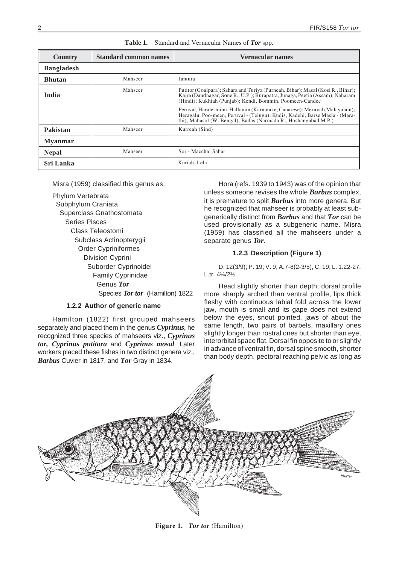<span id="page-8-0"></span>

| Country           | <b>Standard common names</b> | Vernacular names                                                                                                                                                                                                             |
|-------------------|------------------------------|------------------------------------------------------------------------------------------------------------------------------------------------------------------------------------------------------------------------------|
| <b>Bangladesh</b> |                              |                                                                                                                                                                                                                              |
| <b>Bhutan</b>     | Mahseer                      | Jantura                                                                                                                                                                                                                      |
| India             | Mahseer                      | Putitor (Goalpara); Sahara and Turiya (Purneah, Bihar); Masal (Kosi R., Bihar);<br>Kajra (Daudnagar, Sone R., U.P.); Burapatra, Junaga, Peetia (Assam); Naharam<br>(Hindi); Kukhiah (Punjab); Kendi, Bommin, Poomeen-Candee  |
|                   |                              | Peruval, Harale-minu, Hallamin (Karnatake, Canarese); Meruval (Malayalam);<br>Heragalu, Poo-meen, Peruval - (Telugu); Kudis, Kadehi, Barse Masla - (Mara-<br>thi); Mahasol (W. Bengal); Badas (Narmada R., Hoshangabad M.P.) |
| Pakistan          | Mahseer                      | Kurreah (Sind)                                                                                                                                                                                                               |
| <b>Myanmar</b>    |                              |                                                                                                                                                                                                                              |
| <b>Nepal</b>      | Mahseer                      | Sor - Maccha; Sahar                                                                                                                                                                                                          |
| Sri Lanka         |                              | Kuriah, Lela                                                                                                                                                                                                                 |

**Table 1.** Standard and Vernacular Names of *Tor* spp.

Misra (1959) classified this genus as:

Phylum Vertebrata Subphylum Craniata Superclass Gnathostomata Series Pisces Class Teleostomi Subclass Actinopterygii Order Cypriniformes Division Cyprini Suborder Cyprinoidei Family Cyprinidae Genus *Tor* Species *Tor tor* (Hamilton) 1822

# **1.2.2 Author of generic name**

Hamilton (1822) first grouped mahseers separately and placed them in the genus *Cyprinus*; he recognized three species of mahseers viz., *Cyprinus tor, Cyprinus putitora* and *Cyprinus mosal.* Later workers placed these fishes in two distinct genera viz., *Barbus* Cuvier in 1817, and *Tor* Gray in 1834.

Hora (refs. 1939 to 1943) was of the opinion that unless someone revises the whole *Barbus* complex, it is premature to split *Barbus* into more genera. But he recognized that mahseer is probably at least subgenerically distinct from *Barbus* and that *Tor* can be used provisionally as a subgeneric name. Misra (1959) has classified all the mahseers under a separate genus *Tor*.

# **1.2.3 Description (Figure 1)**

D. 12(3/9); P. 19; V. 9; A.7-8(2-3/5), C. 19; L. 1.22-27, L.tr. 4¼/2½

Head slightly shorter than depth; dorsal profile more sharply arched than ventral profile, lips thick fleshy with continuous labial fold across the lower jaw, mouth is small and its gape does not extend below the eyes, snout pointed, jaws of about the same length, two pairs of barbels, maxillary ones slightly longer than rostral ones but shorter than eye, interorbital space flat. Dorsal fin opposite to or slightly in advance of ventral fin, dorsal spine smooth, shorter than body depth, pectoral reaching pelvic as long as



**Figure 1.** *Tor tor* (Hamilton)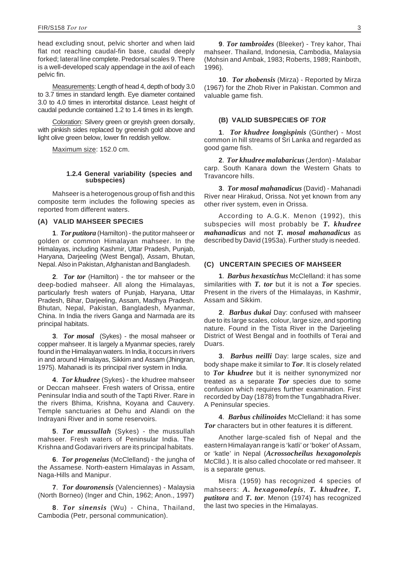head excluding snout, pelvic shorter and when laid flat not reaching caudal-fin base, caudal deeply forked; lateral line complete. Predorsal scales 9. There is a well-developed scaly appendage in the axil of each pelvic fin.

Measurements: Length of head 4, depth of body 3.0 to 3.7 times in standard length. Eye diameter contained 3.0 to 4.0 times in interorbital distance. Least height of caudal peduncle contained 1.2 to 1.4 times in its length.

Coloration: Silvery green or greyish green dorsally, with pinkish sides replaced by greenish gold above and light olive green below, lower fin reddish yellow.

Maximum size: 152.0 cm.

## **1.2.4 General variability (species and subspecies)**

Mahseer is a heterogenous group of fish and this composite term includes the following species as reported from different waters.

# **(A) VALID MAHSEER SPECIES**

**1**. *Tor putitora* (Hamilton) - the putitor mahseer or golden or common Himalayan mahseer. In the Himalayas, including Kashmir, Uttar Pradesh, Punjab, Haryana, Darjeeling (West Bengal), Assam, Bhutan, Nepal. Also in Pakistan, Afghanistan and Bangladesh.

**2**. *Tor tor* (Hamilton) - the tor mahseer or the deep-bodied mahseer. All along the Himalayas, particularly fresh waters of Punjab, Haryana, Uttar Pradesh, Bihar, Darjeeling, Assam, Madhya Pradesh. Bhutan, Nepal, Pakistan, Bangladesh, Myanmar, China. In India the rivers Ganga and Narmada are its principal habitats.

**3**. *Tor mosal* (Sykes) - the mosal mahseer or copper mahseer. It is largely a Myanmar species, rarely found in the Himalayan waters. In India, it occurs in rivers in and around Himalayas, Sikkim and Assam (Jhingran, 1975). Mahanadi is its principal river system in India.

**4**. *Tor khudree* (Sykes) - the khudree mahseer or Deccan mahseer. Fresh waters of Orissa, entire Peninsular India and south of the Tapti River. Rare in the rivers Bhima, Krishna, Koyana and Cauvery. Temple sanctuaries at Dehu and Alandi on the Indrayani River and in some reservoirs.

**5**. *Tor mussullah* (Sykes) - the mussullah mahseer. Fresh waters of Peninsular India. The Krishna and Godavari rivers are its principal habitats.

**6**. *Tor progeneius* (McClelland) - the jungha of the Assamese. North-eastern Himalayas in Assam, Naga-Hills and Manipur.

**7**. *Tor douronensis* (Valenciennes) - Malaysia (North Borneo) (Inger and Chin, 1962; Anon., 1997)

**8**. *Tor sinensis* (Wu) - China, Thailand, Cambodia (Petr, personal communication).

**9**. *Tor tambroides* (Bleeker) - Trey kahor, Thai mahseer. Thailand, Indonesia, Cambodia, Malaysia (Mohsin and Ambak, 1983; Roberts, 1989; Rainboth, 1996).

**10**. *Tor zhobensis* (Mirza) - Reported by Mirza (1967) for the Zhob River in Pakistan. Common and valuable game fish.

# **(B) VALID SUBSPECIES OF** *TOR*

**1**. *Tor khudree longispinis* (Günther) - Most common in hill streams of Sri Lanka and regarded as good game fish.

**2**. *Tor khudree malabaricus*(Jerdon) - Malabar carp. South Kanara down the Western Ghats to Travancore hills.

**3**. *Tor mosal mahanadicus* (David) - Mahanadi River near Hirakud, Orissa. Not yet known from any other river system, even in Orissa.

According to A.G.K. Menon (1992), this subspecies will most probably be *T. khudree mahanadicus* and not *T. mosal mahanadicus* as described by David (1953a). Further study is needed.

# **(C) UNCERTAIN SPECIES OF MAHSEER**

**1**. *Barbus hexastichus* McClelland: it has some similarities with *T. tor* but it is not a *Tor* species. Present in the rivers of the Himalayas, in Kashmir, Assam and Sikkim.

**2**. *Barbus dukai* Day: confused with mahseer due to its large scales, colour, large size, and sporting nature. Found in the Tista River in the Darjeeling District of West Bengal and in foothills of Terai and Duars.

**3**. *Barbus neilli* Day: large scales, size and body shape make it similar to *Tor*. It is closely related to *Tor khudree* but it is neither synonymized nor treated as a separate *Tor* species due to some confusion which requires further examination. First recorded by Day (1878) from the Tungabhadra River. A Peninsular species.

**4**. *Barbus chilinoides* McClelland: it has some *Tor* characters but in other features it is different.

Another large-scaled fish of Nepal and the eastern Himalayan range is 'katli' or 'boker' of Assam, or 'katle' in Nepal (*Acrossocheilus hexagonolepis* McClld.). It is also called chocolate or red mahseer. It is a separate genus.

Misra (1959) has recognized 4 species of mahseers: *A. hexagonolepis*, *T. khudree*, *T. putitora* and *T. tor*. Menon (1974) has recognized the last two species in the Himalayas.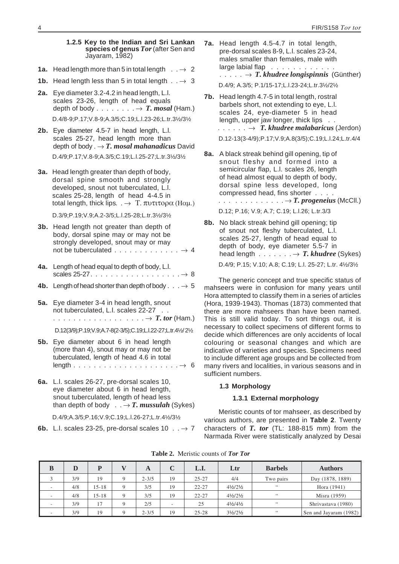#### <span id="page-10-0"></span>**1.2.5 Key to the Indian and Sri Lankan species of genus** *Tor*(after Sen and Jayaram, 1982)

- **1a.** Head length more than 5 in total length  $\therefore$   $\rightarrow$  2
- **1b.** Head length less than 5 in total length  $\therefore$   $\rightarrow$  3
- **2a.** Eye diameter 3.2-4.2 in head length, L.l. scales 23-26, length of head equals depth of body  $\dots \dots \dots \rightarrow T$ . *mosal* (Ham.) D.4/8-9;P.17;V.8-9;A.3/5;C.19;L.l.23-26;L.tr.3½/3½
- **2b.** Eye diameter 4.5-7 in head length, L.l. scales 25-27, head length more than depth of body  $. \rightarrow T$ . *mosal mahanadicus* David D.4/9;P.17;V.8-9;A.3/5;C.19;L.l.25-27;L.tr.3½/3½
- **3a.** Head length greater than depth of body, dorsal spine smooth and strongly developed, snout not tuberculated, L.l. scales 25-28, length of head 4-4.5 in total length, thick lips.  $\Box \rightarrow \mathrm{T}$ .  $\pi \nu \tau \tau \sigma \rho \alpha$  (H $\alpha \mu$ .)

D.3/9;P.19;V.9;A.2-3/5;L.l.25-28;L.tr.3½/3½

- **3b.** Head length not greater than depth of body, dorsal spine may or may not be strongly developed, snout may or may not be tuberculated ............. 4
- **4a.** Length of head equal to depth of body, L.l. scales 25-27.  $\ldots$  . . . . . . . . . . . . . . .  $\rightarrow 8$
- **4b.** Length of head shorter than depth of body  $\ldots \rightarrow 5$
- **5a.** Eye diameter 3-4 in head length, snout not tuberculated, L.l. scales 22-27 . . .............. .... *T. tor* (Ham.)

D.12(3/9);P.19;V.9;A.7-8(2-3/5);C.19;L.l.22-27;L.tr.4½/2½

- **5b.** Eye diameter about 6 in head length (more than 4), snout may or may not be tuberculated, length of head 4.6 in total length ..................... 6
- **6a.** L.l. scales 26-27, pre-dorsal scales 10, eye diameter about 6 in head length, snout tuberculated, length of head less than depth of body  $\ldots \rightarrow T$ . *mussulah* (Sykes)

D.4/9;A.3/5;P.16;V.9;C.19;L.l.26-27;L.tr.4½/3½

**6b.** L.I. scales 23-25, pre-dorsal scales 10  $\ldots$   $\rightarrow$  7

```
7a. Head length 4.5-4.7 in total length,
pre-dorsal scales 8-9, L.l. scales 23-24,
males smaller than females, male with
large labial flap . . . . . . . . . . . .
\ldots.... \rightarrow T. khudree longispinnis (Günther)
D.4/9; A.3/5; P.1/15-17;L.l.23-24;L.tr.3½/2½
```
- **7b.** Head length 4.7-5 in total length, rostral barbels short, not extending to eye, L.l. scales 24, eye-diameter 5 in head length, upper jaw longer, thick lips . .  $\dots$ .....  $\rightarrow$  *T. khudree malabaricus* (Jerdon) D.12-13(3-4/9);P.17;V.9;A.8(3/5);C.19;L.l.24;L.tr.4/4
- **8a.** A black streak behind gill opening, tip of snout fleshy and formed into a semicircular flap, L.l. scales 26, length of head almost equal to depth of body, dorsal spine less developed, long compressed head, fins shorter .... ... .......... *T. progeneius* (McCll.) D.12; P.16; V.9; A.7; C.19; L.l.26; L.tr.3/3
- **8b.** No black streak behind gill opening; tip of snout not fleshy tuberculated, L.l. scales 25-27, length of head equal to depth of body, eye diameter 5.5-7 in head length  $\dots \dots \rightarrow T$ . *khudree* (Sykes) D.4/9; P.15; V.10; A.8; C.19; L.l. 25-27; L.tr. 4½/3½

The generic concept and true specific status of mahseers were in confusion for many years until Hora attempted to classify them in a series of articles (Hora, 1939-1943). Thomas (1873) commented that there are more mahseers than have been named. This is still valid today. To sort things out, it is necessary to collect specimens of different forms to decide which differences are only accidents of local colouring or seasonal changes and which are indicative of varieties and species. Specimens need to include different age groups and be collected from many rivers and localities, in various seasons and in sufficient numbers.

#### **1.3 Morphology**

# **1.3.1 External morphology**

Meristic counts of tor mahseer, as described by various authors, are presented in **Table 2**. Twenty characters of *T. tor* (TL: 188-815 mm) from the Narmada River were statistically analyzed by Desai

| B                        |     | D         | A         | C                        | L.I.      | Ltr                             | <b>Barbels</b> | <b>Authors</b>         |
|--------------------------|-----|-----------|-----------|--------------------------|-----------|---------------------------------|----------------|------------------------|
|                          | 3/9 | 19        | $2 - 3/5$ | 19                       | $25 - 27$ | 4/4                             | Two pairs      | Day (1878, 1889)       |
| $\sim$                   | 4/8 | $15 - 18$ | 3/5       | 19                       | $22 - 27$ | $4\frac{1}{2}$ /2 $\frac{1}{2}$ | 66             | Hora (1941)            |
| $\sim$                   | 4/8 | $15 - 18$ | 3/5       | 19                       | $22 - 27$ | $4\frac{1}{2}$ /2 $\frac{1}{2}$ | 66             | Misra (1959)           |
| $\sim$                   | 3/9 | 17        | 2/5       | $\overline{\phantom{m}}$ | 25        | $4\frac{1}{2}$ /4 $\frac{1}{2}$ | 66             | Shrivastava (1980)     |
| $\overline{\phantom{a}}$ | 3/9 | 19        | $2 - 3/5$ | 19                       | $25 - 28$ | $3\frac{1}{2}$ /2 $\frac{1}{2}$ | $\,$ 6 $\,$    | Sen and Jayaram (1982) |

**Table 2.** Meristic counts of *Tor Tor*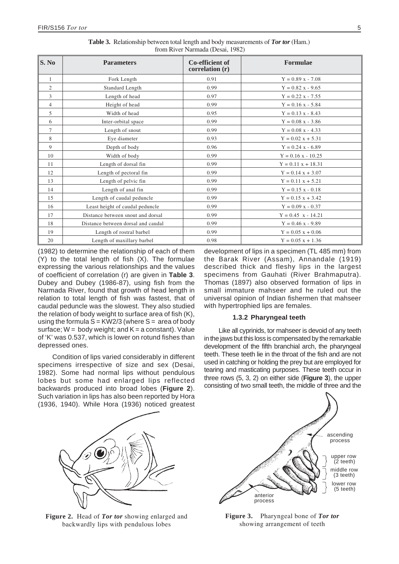<span id="page-11-0"></span>

| S. No          | <b>Parameters</b>                  | Co-efficient of<br>correlation (r) | Formulae             |
|----------------|------------------------------------|------------------------------------|----------------------|
| $\mathbf{1}$   | Fork Length                        | 0.91                               | $Y = 0.89$ x - 7.08  |
| $\overline{2}$ | Standard Length                    | 0.99                               | $Y = 0.82$ x - 9.65  |
| 3              | Length of head                     | 0.97                               | $Y = 0.22$ x - 7.55  |
| $\overline{4}$ | Height of head                     | 0.99                               | $Y = 0.16$ x - 5.84  |
| 5              | Width of head                      | 0.95                               | $Y = 0.13 x - 8.43$  |
| 6              | Inter-orbital space                | 0.99                               | $Y = 0.08$ x - 3.86  |
| 7              | Length of snout                    | 0.99                               | $Y = 0.08$ x - 4.33  |
| 8              | Eye diameter                       | 0.93                               | $Y = 0.02 x + 5.31$  |
| 9              | Depth of body                      | 0.96                               | $Y = 0.24$ x - 6.89  |
| 10             | Width of body                      | 0.99                               | $Y = 0.16 x - 10.25$ |
| 11             | Length of dorsal fin               | 0.99                               | $Y = 0.11 x + 18.31$ |
| 12             | Length of pectoral fin             | 0.99                               | $Y = 0.14 x + 3.07$  |
| 13             | Length of pelvic fin               | 0.99                               | $Y = 0.11 x + 5.21$  |
| 14             | Length of anal fin                 | 0.99                               | $Y = 0.15 x - 0.18$  |
| 15             | Length of caudal peduncle          | 0.99                               | $Y = 0.15 x + 3.42$  |
| 16             | Least height of caudal peduncle    | 0.99                               | $Y = 0.09$ x - 0.37  |
| 17             | Distance between snout and dorsal  | 0.99                               | $Y = 0.45$ x - 14.21 |
| 18             | Distance between dorsal and caudal | 0.99                               | $Y = 0.46$ x - 9.89  |
| 19             | Length of rostral barbel           | 0.99                               | $Y = 0.05 x + 0.06$  |
| 20             | Length of maxillary barbel         | 0.98                               | $Y = 0.05 x + 1.36$  |

**Table 3.** Relationship between total length and body measurements of *Tor tor* (Ham.) from River Narmada (Desai, 1982)

(1982) to determine the relationship of each of them (Y) to the total length of fish (X). The formulae expressing the various relationships and the values of coefficient of correlation (r) are given in **Table 3**. Dubey and Dubey (1986-87), using fish from the Narmada River, found that growth of head length in relation to total length of fish was fastest, that of caudal peduncle was the slowest. They also studied the relation of body weight to surface area of fish (K), using the formula  $S = KW2/3$  (where  $S = area$  of body surface;  $W = body weight$ ; and  $K = a constant$ ). Value of 'K' was 0.537, which is lower on rotund fishes than depressed ones.

Condition of lips varied considerably in different specimens irrespective of size and sex (Desai, 1982). Some had normal lips without pendulous lobes but some had enlarged lips reflected backwards produced into broad lobes (**Figure 2**). Such variation in lips has also been reported by Hora (1936, 1940). While Hora (1936) noticed greatest development of lips in a specimen (TL 485 mm) from the Barak River (Assam), Annandale (1919) described thick and fleshy lips in the largest specimens from Gauhati (River Brahmaputra). Thomas (1897) also observed formation of lips in small immature mahseer and he ruled out the universal opinion of Indian fishermen that mahseer with hypertrophied lips are females.

# **1.3.2 Pharyngeal teeth**

Like all cyprinids, tor mahseer is devoid of any teeth in the jaws but this loss is compensated by the remarkable development of the fifth branchial arch, the pharyngeal teeth. These teeth lie in the throat of the fish and are not used in catching or holding the prey but are employed for tearing and masticating purposes. These teeth occur in three rows (5, 3, 2) on either side (**Figure 3**), the upper consisting of two small teeth, the middle of three and the



**Figure 2.** Head of *Tor tor* showing enlarged and backwardly lips with pendulous lobes



**Figure 3.** Pharyngeal bone of *Tor tor* showing arrangement of teeth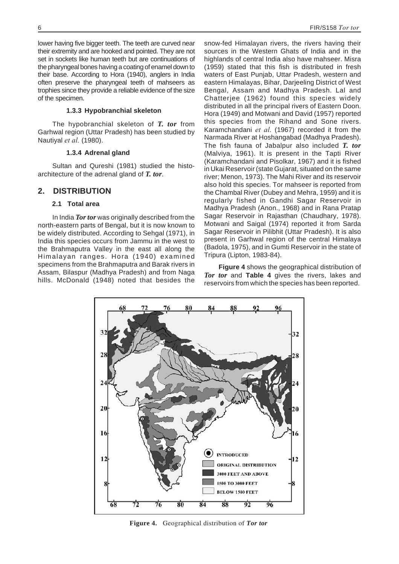<span id="page-12-0"></span>lower having five bigger teeth. The teeth are curved near their extremity and are hooked and pointed. They are not set in sockets like human teeth but are continuations of the pharyngeal bones having a coating of enamel down to their base. According to Hora (1940), anglers in India often preserve the pharyngeal teeth of mahseers as trophies since they provide a reliable evidence of the size of the specimen.

## **1.3.3 Hypobranchial skeleton**

The hypobranchial skeleton of *T. tor* from Garhwal region (Uttar Pradesh) has been studied by Nautiyal *et al.* (1980).

#### **1.3.4 Adrenal gland**

Sultan and Qureshi (1981) studied the histoarchitecture of the adrenal gland of *T. tor*.

# **2. DISTRIBUTION**

# **2.1 Total area**

In India *Tor tor* was originally described from the north-eastern parts of Bengal, but it is now known to be widely distributed. According to Sehgal (1971), in India this species occurs from Jammu in the west to the Brahmaputra Valley in the east all along the Himalayan ranges. Hora (1940) examined specimens from the Brahmaputra and Barak rivers in Assam, Bilaspur (Madhya Pradesh) and from Naga hills. McDonald (1948) noted that besides the snow-fed Himalayan rivers, the rivers having their sources in the Western Ghats of India and in the highlands of central India also have mahseer. Misra (1959) stated that this fish is distributed in fresh waters of East Punjab, Uttar Pradesh, western and eastern Himalayas, Bihar, Darjeeling District of West Bengal, Assam and Madhya Pradesh. Lal and Chatterjee (1962) found this species widely distributed in all the principal rivers of Eastern Doon. Hora (1949) and Motwani and David (1957) reported this species from the Rihand and Sone rivers. Karamchandani *et al*. (1967) recorded it from the Narmada River at Hoshangabad (Madhya Pradesh). The fish fauna of Jabalpur also included *T. tor* (Malviya, 1961). It is present in the Tapti River (Karamchandani and Pisolkar, 1967) and it is fished in Ukai Reservoir (state Gujarat, situated on the same river; Menon, 1973). The Mahi River and its reservoir also hold this species. Tor mahseer is reported from the Chambal River (Dubey and Mehra, 1959) and it is regularly fished in Gandhi Sagar Reservoir in Madhya Pradesh (Anon., 1968) and in Rana Pratap Sagar Reservoir in Rajasthan (Chaudhary, 1978). Motwani and Saigal (1974) reported it from Sarda Sagar Reservoir in Pilibhit (Uttar Pradesh). It is also present in Garhwal region of the central Himalaya (Badola, 1975), and in Gumti Reservoir in the state of Tripura (Lipton, 1983-84).

**Figure 4** shows the geographical distribution of *Tor tor* and **Table 4** gives the rivers, lakes and reservoirs from which the species has been reported.



**Figure 4.** Geographical distribution of *Tor tor*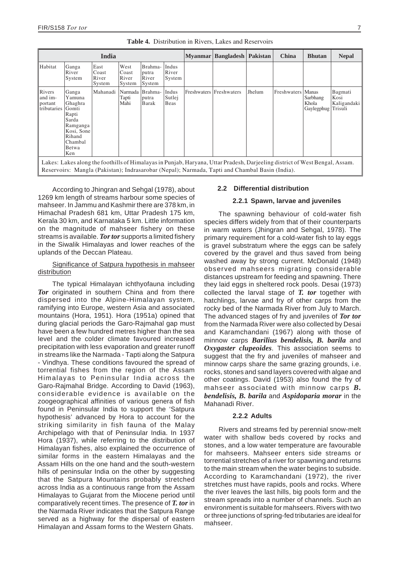<span id="page-13-0"></span>

| India                                       |                                                                                                                                                                                                                               |                                  |                                  |                                     | Myanmar                        | <b>Bangladesh</b> | Pakistan                | China  | <b>Bhutan</b> | <b>Nepal</b>                                    |                                           |
|---------------------------------------------|-------------------------------------------------------------------------------------------------------------------------------------------------------------------------------------------------------------------------------|----------------------------------|----------------------------------|-------------------------------------|--------------------------------|-------------------|-------------------------|--------|---------------|-------------------------------------------------|-------------------------------------------|
| Habitat                                     | Ganga<br>River<br>System                                                                                                                                                                                                      | East<br>Coast<br>River<br>System | West<br>Coast<br>River<br>System | Brahma-<br>putra<br>River<br>System | Indus<br>River<br>System       |                   |                         |        |               |                                                 |                                           |
| Rivers<br>and im-<br>portant<br>tributaries | Ganga<br>Yamuna<br>Ghaghra<br>Gomti<br>Rapti<br>Sarda<br>Ramganga<br>Kosi, Sone<br>Rihand<br>Chambal<br>Betwa<br>Ken                                                                                                          | Mahanadi                         | Narmada<br>Tapti<br>Mahi         | Brahma-<br>putra<br>Barak           | Indus<br>Sutlej<br><b>Beas</b> |                   | Freshwaters Freshwaters | Jhelum | Freshwaters   | <b>Manas</b><br>Sarbhang<br>Khola<br>Gaylegphug | Bagmati<br>Kosi<br>Kaligandaki<br>Trisuli |
|                                             | Lakes: Lakes along the foothills of Himalayas in Punjab, Haryana, Uttar Pradesh, Darjeeling district of West Bengal, Assam.<br>Reservoirs: Mangla (Pakistan); Indrasarobar (Nepal); Narmada, Tapti and Chambal Basin (India). |                                  |                                  |                                     |                                |                   |                         |        |               |                                                 |                                           |

**Table 4.** Distribution in Rivers, Lakes and Reservoirs

According to Jhingran and Sehgal (1978), about 1269 km length of streams harbour some species of mahseer. In Jammu and Kashmir there are 378 km, in Himachal Pradesh 681 km, Uttar Pradesh 175 km, Kerala 30 km, and Karnataka 5 km. Little information on the magnitude of mahseer fishery on these streams is available. *Tor tor* supports a limited fishery in the Siwalik Himalayas and lower reaches of the uplands of the Deccan Plateau.

# Significance of Satpura hypothesis in mahseer **distribution**

The typical Himalayan ichthyofauna including *Tor* originated in southern China and from there dispersed into the Alpine-Himalayan system, ramifying into Europe, western Asia and associated mountains (Hora, 1951). Hora (1951a) opined that during glacial periods the Garo-Rajmahal gap must have been a few hundred metres higher than the sea level and the colder climate favoured increased precipitation with less evaporation and greater runoff in streams like the Narmada - Tapti along the Satpura - Vindhya. These conditions favoured the spread of torrential fishes from the region of the Assam Himalayas to Peninsular India across the Garo-Rajmahal Bridge. According to David (1963), considerable evidence is available on the zoogeographical affinities of various genera of fish found in Peninsular India to support the 'Satpura hypothesis' advanced by Hora to account for the striking similarity in fish fauna of the Malay Archipelago with that of Peninsular India. In 1937 Hora (1937), while referring to the distribution of Himalayan fishes, also explained the occurrence of similar forms in the eastern Himalayas and the Assam Hills on the one hand and the south-western hills of peninsular India on the other by suggesting that the Satpura Mountains probably stretched across India as a continuous range from the Assam Himalayas to Gujarat from the Miocene period until comparatively recent times. The presence of *T. tor* in the Narmada River indicates that the Satpura Range served as a highway for the dispersal of eastern Himalayan and Assam forms to the Western Ghats.

# **2.2 Differential distribution**

# **2.2.1 Spawn, larvae and juveniles**

The spawning behaviour of cold-water fish species differs widely from that of their counterparts in warm waters (Jhingran and Sehgal, 1978). The primary requirement for a cold-water fish to lay eggs is gravel substratum where the eggs can be safely covered by the gravel and thus saved from being washed away by strong current. McDonald (1948) observed mahseers migrating considerable distances upstream for feeding and spawning. There they laid eggs in sheltered rock pools. Desai (1973) collected the larval stage of *T. tor* together with hatchlings, larvae and fry of other carps from the rocky bed of the Narmada River from July to March. The advanced stages of fry and juveniles of *Tor tor* from the Narmada River were also collected by Desai and Karamchandani (1967) along with those of minnow carps *Barilius bendelisis, B. barila* and *Oxygaster clupeoides*. This association seems to suggest that the fry and juveniles of mahseer and minnow carps share the same grazing grounds, i.e. rocks, stones and sand layers covered with algae and other coatings. David (1953) also found the fry of mahseer associated with minnow carps *B. bendelisis, B. barila* and *Aspidoparia morar* in the Mahanadi River.

# **2.2.2 Adults**

Rivers and streams fed by perennial snow-melt water with shallow beds covered by rocks and stones, and a low water temperature are favourable for mahseers. Mahseer enters side streams or torrential stretches of a river for spawning and returns to the main stream when the water begins to subside. According to Karamchandani (1972), the river stretches must have rapids, pools and rocks. Where the river leaves the last hills, big pools form and the stream spreads into a number of channels. Such an environment is suitable for mahseers. Rivers with two or three junctions of spring-fed tributaries are ideal for mahseer.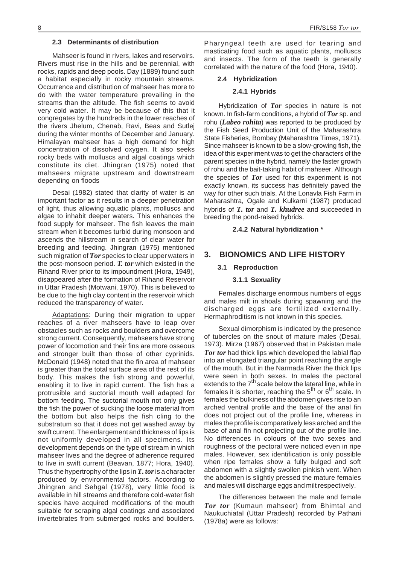#### **2.3 Determinants of distribution**

Mahseer is found in rivers, lakes and reservoirs. Rivers must rise in the hills and be perennial, with rocks, rapids and deep pools. Day (1889) found such a habitat especially in rocky mountain streams. Occurrence and distribution of mahseer has more to do with the water temperature prevailing in the streams than the altitude. The fish seems to avoid very cold water. It may be because of this that it congregates by the hundreds in the lower reaches of the rivers Jhelum, Chenab, Ravi, Beas and Sutlej during the winter months of December and January. Himalayan mahseer has a high demand for high concentration of dissolved oxygen. It also seeks rocky beds with molluscs and algal coatings which constitute its diet. Jhingran (1975) noted that mahseers migrate upstream and downstream depending on floods

Desai (1982) stated that clarity of water is an important factor as it results in a deeper penetration of light, thus allowing aquatic plants, molluscs and algae to inhabit deeper waters. This enhances the food supply for mahseer. The fish leaves the main stream when it becomes turbid during monsoon and ascends the hillstream in search of clear water for breeding and feeding. Jhingran (1975) mentioned such migration of *Tor* species to clear upper waters in the post-monsoon period. *T. tor* which existed in the Rihand River prior to its impoundment (Hora, 1949), disappeared after the formation of Rihand Reservoir in Uttar Pradesh (Motwani, 1970). This is believed to be due to the high clay content in the reservoir which reduced the transparency of water.

Adaptations: During their migration to upper reaches of a river mahseers have to leap over obstacles such as rocks and boulders and overcome strong current. Consequently, mahseers have strong power of locomotion and their fins are more osseous and stronger built than those of other cyprinids. McDonald (1948) noted that the fin area of mahseer is greater than the total surface area of the rest of its body. This makes the fish strong and powerful, enabling it to live in rapid current. The fish has a protrusible and suctorial mouth well adapted for bottom feeding. The suctorial mouth not only gives the fish the power of sucking the loose material from the bottom but also helps the fish cling to the substratum so that it does not get washed away by swift current. The enlargement and thickness of lips is not uniformly developed in all specimens. Its development depends on the type of stream in which mahseer lives and the degree of adherence required to live in swift current (Beavan, 1877; Hora, 1940). Thus the hypertrophy of the lips in *T. tor*is a character produced by environmental factors. According to Jhingran and Sehgal (1978), very little food is available in hill streams and therefore cold-water fish species have acquired modifications of the mouth suitable for scraping algal coatings and associated invertebrates from submerged rocks and boulders.

Pharyngeal teeth are used for tearing and masticating food such as aquatic plants, molluscs and insects. The form of the teeth is generally correlated with the nature of the food (Hora, 1940).

#### **2.4 Hybridization**

#### **2.4.1 Hybrids**

Hybridization of *Tor* species in nature is not known. In fish-farm conditions, a hybrid of *Tor* sp. and rohu (*Labeo rohita*) was reported to be produced by the Fish Seed Production Unit of the Maharashtra State Fisheries, Bombay (Maharashtra Times, 1971). Since mahseer is known to be a slow-growing fish, the idea of this experiment was to get the characters of the parent species in the hybrid, namely the faster growth of rohu and the bait-taking habit of mahseer. Although the species of *Tor* used for this experiment is not exactly known, its success has definitely paved the way for other such trials. At the Lonavla Fish Farm in Maharashtra, Ogale and Kulkarni (1987) produced hybrids of *T. tor* and *T. khudree* and succeeded in breeding the pond-raised hybrids.

## **2.4.2 Natural hybridization \***

# **3. BIONOMICS AND LIFE HISTORY**

#### **3.1 Reproduction**

#### **3.1.1 Sexuality**

Females discharge enormous numbers of eggs and males milt in shoals during spawning and the discharged eggs are fertilized externally. Hermaphroditism is not known in this species.

Sexual dimorphism is indicated by the presence of tubercles on the snout of mature males (Desai, 1973). Mirza (1967) observed that in Pakistan male *Tor tor* had thick lips which developed the labial flap into an elongated triangular point reaching the angle of the mouth. But in the Narmada River the thick lips were seen in both sexes. In males the pectoral extends to the  $7<sup>th</sup>$  scale below the lateral line, while in females it is shorter, reaching the  $5<sup>th</sup>$  or  $6<sup>th</sup>$  scale. In females the bulkiness of the abdomen gives rise to an arched ventral profile and the base of the anal fin does not project out of the profile line, whereas in males the profile is comparatively less arched and the base of anal fin not projecting out of the profile line. No differences in colours of the two sexes and roughness of the pectoral were noticed even in ripe males. However, sex identification is only possible when ripe females show a fully bulged and soft abdomen with a slightly swollen pinkish vent. When the abdomen is slightly pressed the mature females and males will discharge eggs and milt respectively.

The differences between the male and female *Tor tor* (Kumaun mahseer) from Bhimtal and Naukuchiatal (Uttar Pradesh) recorded by Pathani (1978a) were as follows: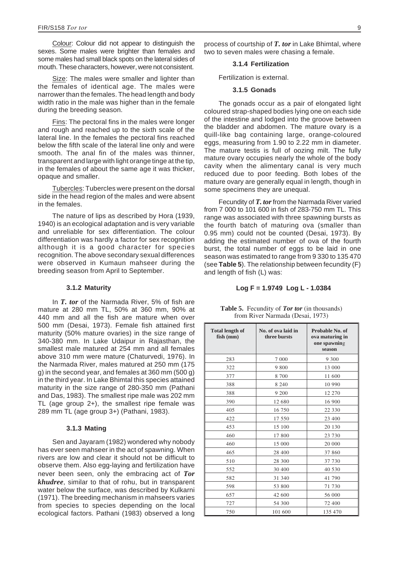<span id="page-15-0"></span>Colour: Colour did not appear to distinguish the sexes. Some males were brighter than females and some males had small black spots on the lateral sides of mouth. These characters, however, were not consistent.

Size: The males were smaller and lighter than the females of identical age. The males were narrower than the females. The head length and body width ratio in the male was higher than in the female during the breeding season.

Fins: The pectoral fins in the males were longer and rough and reached up to the sixth scale of the lateral line. In the females the pectoral fins reached below the fifth scale of the lateral line only and were smooth. The anal fin of the males was thinner, transparent and large with light orange tinge at the tip, in the females of about the same age it was thicker, opaque and smaller.

Tubercles: Tubercles were present on the dorsal side in the head region of the males and were absent in the females.

The nature of lips as described by Hora (1939, 1940) is an ecological adaptation and is very variable and unreliable for sex differentiation. The colour differentiation was hardly a factor for sex recognition although it is a good character for species recognition. The above secondary sexual differences were observed in Kumaun mahseer during the breeding season from April to September.

#### **3.1.2 Maturity**

In *T. tor* of the Narmada River, 5% of fish are mature at 280 mm TL, 50% at 360 mm, 90% at 440 mm and all the fish are mature when over 500 mm (Desai, 1973). Female fish attained first maturity (50% mature ovaries) in the size range of 340-380 mm. In Lake Udaipur in Rajasthan, the smallest male matured at 254 mm and all females above 310 mm were mature (Chaturvedi, 1976). In the Narmada River, males matured at 250 mm (175 g) in the second year, and females at 360 mm (500 g) in the third year. In Lake Bhimtal this species attained maturity in the size range of 280-350 mm (Pathani and Das, 1983). The smallest ripe male was 202 mm TL (age group 2+), the smallest ripe female was 289 mm TL (age group 3+) (Pathani, 1983).

#### **3.1.3 Mating**

Sen and Jayaram (1982) wondered why nobody has ever seen mahseer in the act of spawning. When rivers are low and clear it should not be difficult to observe them. Also egg-laying and fertilization have never been seen, only the embracing act of *Tor khudree*, similar to that of rohu, but in transparent water below the surface, was described by Kulkarni (1971). The breeding mechanism in mahseers varies from species to species depending on the local ecological factors. Pathani (1983) observed a long

process of courtship of *T. tor* in Lake Bhimtal, where two to seven males were chasing a female.

#### **3.1.4 Fertilization**

Fertilization is external.

#### **3.1.5 Gonads**

The gonads occur as a pair of elongated light coloured strap-shaped bodies lying one on each side of the intestine and lodged into the groove between the bladder and abdomen. The mature ovary is a quill-like bag containing large, orange-coloured eggs, measuring from 1.90 to 2.22 mm in diameter. The mature testis is full of oozing milt. The fully mature ovary occupies nearly the whole of the body cavity when the alimentary canal is very much reduced due to poor feeding. Both lobes of the mature ovary are generally equal in length, though in some specimens they are unequal.

Fecundity of *T. tor*from the Narmada River varied from 7 000 to 101 600 in fish of 283-750 mm TL. This range was associated with three spawning bursts as the fourth batch of maturing ova (smaller than 0.95 mm) could not be counted (Desai, 1973). By adding the estimated number of ova of the fourth burst, the total number of eggs to be laid in one season was estimated to range from 9 330 to 135 470 (see **Table 5**). The relationship between fecundity (F) and length of fish (L) was:

#### **Log F = 1.9749 Log L - 1.0384**

| <b>Total length of</b><br>fish (mm) | No. of ova laid in<br>three bursts | Probable No. of<br>ova maturing in<br>one spawning<br>season |
|-------------------------------------|------------------------------------|--------------------------------------------------------------|
| 283                                 | 7 0 0 0                            | 9 3 0 0                                                      |
| 322                                 | 9 800                              | 13 000                                                       |
| 377                                 | 8 700                              | 11 600                                                       |
| 388                                 | 8 2 4 0                            | 10 990                                                       |
| 388                                 | 9 200                              | 12 270                                                       |
| 390                                 | 12 680                             | 16 900                                                       |
| 405                                 | 16 750                             | 22 330                                                       |
| 422                                 | 17 550                             | 23 400                                                       |
| 453                                 | 15 100                             | 20 130                                                       |
| 460                                 | 17 800                             | 23 730                                                       |
| 460                                 | 15 000                             | 20 000                                                       |
| 465                                 | 28 400                             | 37 860                                                       |
| 510                                 | 28 300                             | 37 730                                                       |
| 552                                 | 30 400                             | 40 530                                                       |
| 582                                 | 31 340                             | 41 790                                                       |
| 598                                 | 53 800                             | 71 730                                                       |
| 657                                 | 42 600                             | 56 000                                                       |
| 727                                 | 54 300                             | 72 400                                                       |
| 750                                 | 101 600                            | 135 470                                                      |

**Table 5.** Fecundity of *Tor tor* (in thousands) from River Narmada (Desai, 1973)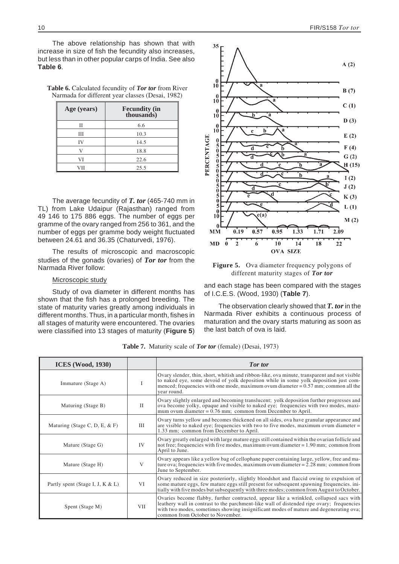<span id="page-16-0"></span>The above relationship has shown that with increase in size of fish the fecundity also increases, but less than in other popular carps of India. See also **Table 6**.

**Table 6.** Calculated fecundity of *Tor tor* from River Narmada for different year classes (Desai, 1982)

| Age (years)  | <b>Fecundity (in thousands)</b> |
|--------------|---------------------------------|
| Н            | 6.6                             |
| Ш            | 10.3                            |
| IV           | 14.5                            |
| $\mathbf{V}$ | 18.8                            |
| VI           | 22.6                            |
| VH           | 25.5                            |

The average fecundity of *T. tor* (465-740 mm in TL) from Lake Udaipur (Rajasthan) ranged from 49 146 to 175 886 eggs. The number of eggs per gramme of the ovary ranged from 256 to 361, and the number of eggs per gramme body weight fluctuated between 24.61 and 36.35 (Chaturvedi, 1976).

The results of microscopic and macroscopic studies of the gonads (ovaries) of *Tor tor* from the Narmada River follow:

## Microscopic study

Study of ova diameter in different months has shown that the fish has a prolonged breeding. The state of maturity varies greatly among individuals in different months. Thus, in a particular month, fishes in all stages of maturity were encountered. The ovaries were classified into 13 stages of maturity (**Figure 5**)



**Figure 5.** Ova diameter frequency polygons of different maturity stages of *Tor tor*

and each stage has been compared with the stages of I.C.E.S. (Wood, 1930) (**Table 7**).

The observation clearly showed that *T. tor*in the Narmada River exhibits a continuous process of maturation and the ovary starts maturing as soon as the last batch of ova is laid.

**Table 7.** Maturity scale of *Tor tor* (female) (Desai, 1973)

| <b>ICES</b> (Wood, 1930)         |              | <b>Tor</b> tor                                                                                                                                                                                                                                                                                                   |
|----------------------------------|--------------|------------------------------------------------------------------------------------------------------------------------------------------------------------------------------------------------------------------------------------------------------------------------------------------------------------------|
| Immature (Stage A)               | L            | Ovary slender, thin, short, whitish and ribbon-like, ova minute, transparent and not visible<br>to naked eye, some devoid of yolk deposition while in some yolk deposition just com-<br>menced; frequencies with one mode, maximum ovum diameter = $0.57$ mm; common all the<br>year round.                      |
| Maturing (Stage B)               | $\mathbf{H}$ | Ovary slightly enlarged and becoming translucent; yolk deposition further progresses and<br>ova become yolky, opaque and visible to naked eye; frequencies with two modes, maxi-<br>mum ovum diameter = $0.76$ mm; common from December to April.                                                                |
| Maturing (Stage C, D, E, $&$ F)  | Ш            | Ovary turns yellow and becomes thickened on all sides, ova have granular appearance and<br>are visible to naked eye; frequencies with two to five modes, maximum ovum diameter $=$<br>1.33 mm; common from December to April.                                                                                    |
| Mature (Stage G)                 | IV           | Ovary greatly enlarged with large mature eggs still contained within the ovarian follicle and<br>not free; frequencies with five modes, maximum ovum diameter = 1.90 mm; common from<br>April to June.                                                                                                           |
| Mature (Stage H)                 | V            | Ovary appears like a yellow bag of cellophane paper containing large, yellow, free and ma-<br>ture ova; frequencies with five modes, maximum ovum diameter = $2.28$ mm; common from<br>June to September.                                                                                                        |
| Partly spent (Stage I, J, K & L) | VI           | Ovary reduced in size posteriorly, slightly bloodshot and flaccid owing to expulsion of<br>some mature eggs, few mature eggs still present for subsequent spawning frequencies. ini-<br>tially with five modes but subsequently with three modes; common from August to October.                                 |
| Spent (Stage M)                  | VII          | Ovaries become flabby, further contracted, appear like a wrinkled, collapsed sacs with<br>leathery wall in contrast to the parchment-like wall of distended ripe ovary; frequencies<br>with two modes, sometimes showing insignificant modes of mature and degenerating ova;<br>common from October to November. |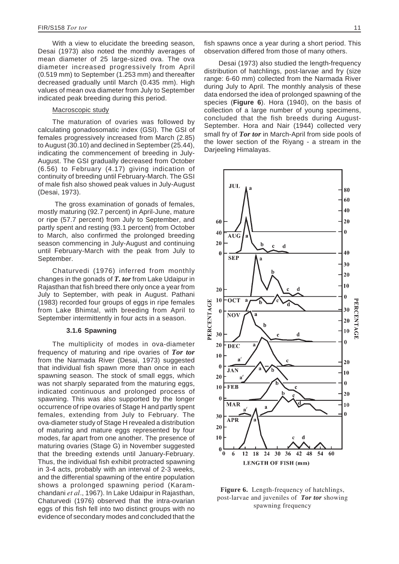With a view to elucidate the breeding season, Desai (1973) also noted the monthly averages of mean diameter of 25 large-sized ova. The ova diameter increased progressively from April (0.519 mm) to September (1.253 mm) and thereafter decreased gradually until March (0.435 mm). High values of mean ova diameter from July to September indicated peak breeding during this period.

# Macroscopic study

The maturation of ovaries was followed by calculating gonadosomatic index (GSI). The GSI of females progressively increased from March (2.85) to August (30.10) and declined in September (25.44), indicating the commencement of breeding in July-August. The GSI gradually decreased from October (6.56) to February (4.17) giving indication of continuity of breeding until February-March. The GSI of male fish also showed peak values in July-August (Desai, 1973).

The gross examination of gonads of females, mostly maturing (92.7 percent) in April-June, mature or ripe (57.7 percent) from July to September, and partly spent and resting (93.1 percent) from October to March, also confirmed the prolonged breeding season commencing in July-August and continuing until February-March with the peak from July to September.

Chaturvedi (1976) inferred from monthly changes in the gonads of *T. tor* from Lake Udaipur in Rajasthan that fish breed there only once a year from July to September, with peak in August. Pathani (1983) recorded four groups of eggs in ripe females from Lake Bhimtal, with breeding from April to September intermittently in four acts in a season.

#### **3.1.6 Spawning**

The multiplicity of modes in ova-diameter frequency of maturing and ripe ovaries of *Tor tor* from the Narmada River (Desai, 1973) suggested that individual fish spawn more than once in each spawning season. The stock of small eggs, which was not sharply separated from the maturing eggs, indicated continuous and prolonged process of spawning. This was also supported by the longer occurrence of ripe ovaries of Stage H and partly spent females, extending from July to February. The ova-diameter study of Stage H revealed a distribution of maturing and mature eggs represented by four modes, far apart from one another. The presence of maturing ovaries (Stage G) in November suggested that the breeding extends until January-February. Thus, the individual fish exhibit protracted spawning in 3-4 acts, probably with an interval of 2-3 weeks, and the differential spawning of the entire population shows a prolonged spawning period (Karamchandani *et al*., 1967). In Lake Udaipur in Rajasthan, Chaturvedi (1976) observed that the intra-ovarian eggs of this fish fell into two distinct groups with no evidence of secondary modes and concluded that the fish spawns once a year during a short period. This observation differed from those of many others.

Desai (1973) also studied the length-frequency distribution of hatchlings, post-larvae and fry (size range: 6-60 mm) collected from the Narmada River during July to April. The monthly analysis of these data endorsed the idea of prolonged spawning of the species (**Figure 6**). Hora (1940), on the basis of collection of a large number of young specimens, concluded that the fish breeds during August-September. Hora and Nair (1944) collected very small fry of *Tor tor* in March-April from side pools of the lower section of the Riyang - a stream in the Darjeeling Himalayas.



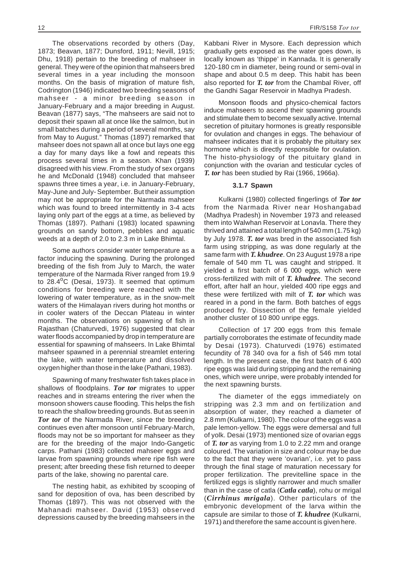<span id="page-18-0"></span>The observations recorded by others (Day, 1873; Beavan, 1877; Dunsford, 1911; Nevill, 1915; Dhu, 1918) pertain to the breeding of mahseer in general. They were of the opinion that mahseers bred several times in a year including the monsoon months. On the basis of migration of mature fish, Codrington (1946) indicated two breeding seasons of mahseer - a minor breeding season in January-February and a major breeding in August. Beavan (1877) says, "The mahseers are said not to deposit their spawn all at once like the salmon, but in small batches during a period of several months, say from May to August." Thomas (1897) remarked that mahseer does not spawn all at once but lays one egg a day for many days like a fowl and repeats this process several times in a season. Khan (1939) disagreed with his view. From the study of sex organs he and McDonald (1948) concluded that mahseer spawns three times a year, i.e. in January-February, May-June and July- September. But their assumption may not be appropriate for the Narmada mahseer which was found to breed intermittently in 3-4 acts laying only part of the eggs at a time, as believed by Thomas (1897). Pathani (1983) located spawning grounds on sandy bottom, pebbles and aquatic weeds at a depth of 2.0 to 2.3 m in Lake Bhimtal.

Some authors consider water temperature as a factor inducing the spawning. During the prolonged breeding of the fish from July to March, the water temperature of the Narmada River ranged from 19.9 to 28.4°C (Desai, 1973). It seemed that optimum conditions for breeding were reached with the lowering of water temperature, as in the snow-melt waters of the Himalayan rivers during hot months or in cooler waters of the Deccan Plateau in winter months. The observations on spawning of fish in Rajasthan (Chaturvedi, 1976) suggested that clear water floods accompanied by drop in temperature are essential for spawning of mahseers. In Lake Bhimtal mahseer spawned in a perennial streamlet entering the lake, with water temperature and dissolved oxygen higher than those in the lake (Pathani, 1983).

Spawning of many freshwater fish takes place in shallows of floodplains. *Tor tor* migrates to upper reaches and in streams entering the river when the monsoon showers cause flooding. This helps the fish to reach the shallow breeding grounds. But as seen in *Tor tor* of the Narmada River, since the breeding continues even after monsoon until February-March, floods may not be so important for mahseer as they are for the breeding of the major Indo-Gangetic carps. Pathani (1983) collected mahseer eggs and larvae from spawning grounds where ripe fish were present; after breeding these fish returned to deeper parts of the lake, showing no parental care.

The nesting habit, as exhibited by scooping of sand for deposition of ova, has been described by Thomas (1897). This was not observed with the Mahanadi mahseer. David (1953) observed depressions caused by the breeding mahseers in the Kabbani River in Mysore. Each depression which gradually gets exposed as the water goes down, is locally known as 'thippe' in Kannada. It is generally 120-180 cm in diameter, being round or semi-oval in shape and about 0.5 m deep. This habit has been also reported for *T. tor* from the Chambal River, off the Gandhi Sagar Reservoir in Madhya Pradesh.

Monsoon floods and physico-chemical factors induce mahseers to ascend their spawning grounds and stimulate them to become sexually active. Internal secretion of pituitary hormones is greatly responsible for ovulation and changes in eggs. The behaviour of mahseer indicates that it is probably the pituitary sex hormone which is directly responsible for ovulation. The histo-physiology of the pituitary gland in conjunction with the ovarian and testicular cycles of *T. tor* has been studied by Rai (1966, 1966a).

#### **3.1.7 Spawn**

Kulkarni (1980) collected fingerlings of *Tor tor* from the Narmada River near Hoshangabad (Madhya Pradesh) in November 1973 and released them into Walwhan Reservoir at Lonavla. There they thrived and attained a total length of 540 mm (1.75 kg) by July 1978. *T. tor* was bred in the associated fish farm using stripping, as was done regularly at the same farm with *T. khudree*. On 23 August 1978 a ripe female of 540 mm TL was caught and stripped. It yielded a first batch of 6 000 eggs, which were cross-fertilized with milt of *T. khudree*. The second effort, after half an hour, yielded 400 ripe eggs and these were fertilized with milt of *T. tor* which was reared in a pond in the farm. Both batches of eggs produced fry. Dissection of the female yielded another cluster of 10 800 unripe eggs.

Collection of 17 200 eggs from this female partially corroborates the estimate of fecundity made by Desai (1973). Chaturvedi (1976) estimated fecundity of 78 340 ova for a fish of 546 mm total length. In the present case, the first batch of 6 400 ripe eggs was laid during stripping and the remaining ones, which were unripe, were probably intended for the next spawning bursts.

The diameter of the eggs immediately on stripping was 2.3 mm and on fertilization and absorption of water, they reached a diameter of 2.8 mm (Kulkarni, 1980). The colour of the eggs was a pale lemon-yellow. The eggs were demersal and full of yolk. Desai (1973) mentioned size of ovarian eggs of *T. tor* as varying from 1.0 to 2.22 mm and orange coloured. The variation in size and colour may be due to the fact that they were 'ovarian', i.e. yet to pass through the final stage of maturation necessary for proper fertilization. The previtelline space in the fertilized eggs is slightly narrower and much smaller than in the case of catla (*Catla catla*), rohu or mrigal (*Cirrhinus mrigala*). Other particulars of the embryonic development of the larva within the capsule are similar to those of *T. khudree* (Kulkarni, 1971) and therefore the same account is given here.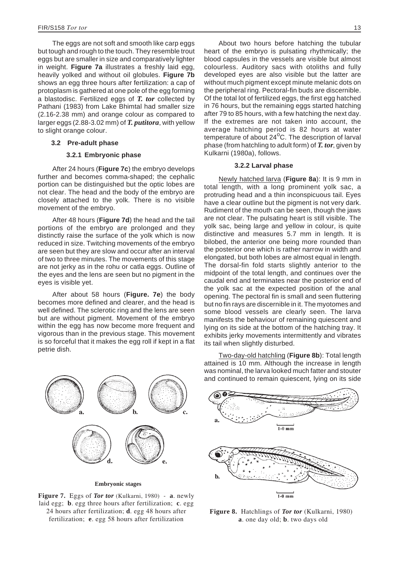The eggs are not soft and smooth like carp eggs but tough and rough to the touch. They resemble trout eggs but are smaller in size and comparatively lighter in weight. **Figure 7a** illustrates a freshly laid egg, heavily yolked and without oil globules. **Figure 7b** shows an egg three hours after fertilization: a cap of protoplasm is gathered at one pole of the egg forming a blastodisc. Fertilized eggs of *T. tor* collected by Pathani (1983) from Lake Bhimtal had smaller size (2.16-2.38 mm) and orange colour as compared to larger eggs (2.88-3.02 mm) of *T. putitora*, with yellow to slight orange colour.

#### **3.2 Pre-adult phase**

#### **3.2.1 Embryonic phase**

After 24 hours (**Figure 7c**) the embryo develops further and becomes comma-shaped; the cephalic portion can be distinguished but the optic lobes are not clear. The head and the body of the embryo are closely attached to the yolk. There is no visible movement of the embryo.

After 48 hours (**Figure 7d**) the head and the tail portions of the embryo are prolonged and they distinctly raise the surface of the yolk which is now reduced in size. Twitching movements of the embryo are seen but they are slow and occur after an interval of two to three minutes. The movements of this stage are not jerky as in the rohu or catla eggs. Outline of the eyes and the lens are seen but no pigment in the eyes is visible yet.

After about 58 hours (**Figure. 7e**) the body becomes more defined and clearer, and the head is well defined. The sclerotic ring and the lens are seen but are without pigment. Movement of the embryo within the egg has now become more frequent and vigorous than in the previous stage. This movement is so forceful that it makes the egg roll if kept in a flat petrie dish.



**Embryonic stages**

**Figure 7.** Eggs of *Tor tor* (Kulkarni, 1980) *-* **a**. newly laid egg; **b**. egg three hours after fertilization; **c**. egg 24 hours after fertilization; **d**. egg 48 hours after fertilization; **e**. egg 58 hours after fertilization

About two hours before hatching the tubular heart of the embryo is pulsating rhythmically; the blood capsules in the vessels are visible but almost colourless. Auditory sacs with otoliths and fully developed eyes are also visible but the latter are without much pigment except minute melanic dots on the peripheral ring. Pectoral-fin buds are discernible. Of the total lot of fertilized eggs, the first egg hatched in 76 hours, but the remaining eggs started hatching after 79 to 85 hours, with a few hatching the next day. If the extremes are not taken into account, the average hatching period is 82 hours at water temperature of about 24<sup>o</sup>C. The description of larval phase (from hatchling to adult form) of *T. tor*, given by Kulkarni (1980a), follows.

#### **3.2.2 Larval phase**

Newly hatched larva (**Figure 8a**): It is 9 mm in total length, with a long prominent yolk sac, a protruding head and a thin inconspicuous tail. Eyes have a clear outline but the pigment is not very dark. Rudiment of the mouth can be seen, though the jaws are not clear. The pulsating heart is still visible. The yolk sac, being large and yellow in colour, is quite distinctive and measures 5.7 mm in length. It is bilobed, the anterior one being more rounded than the posterior one which is rather narrow in width and elongated, but both lobes are almost equal in length. The dorsal-fin fold starts slightly anterior to the midpoint of the total length, and continues over the caudal end and terminates near the posterior end of the yolk sac at the expected position of the anal opening. The pectoral fin is small and seen fluttering but no fin rays are discernible in it. The myotomes and some blood vessels are clearly seen. The larva manifests the behaviour of remaining quiescent and lying on its side at the bottom of the hatching tray. It exhibits jerky movements intermittently and vibrates its tail when slightly disturbed.

Two-day-old hatchling (**Figure 8b**): Total length attained is 10 mm. Although the increase in length was nominal, the larva looked much fatter and stouter and continued to remain quiescent, lying on its side



**Figure 8.** Hatchlings of *Tor tor* (Kulkarni, 1980) **a**. one day old; **b**. two days old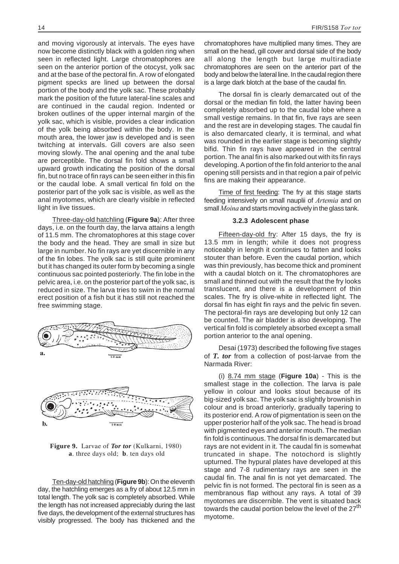<span id="page-20-0"></span>and moving vigorously at intervals. The eyes have now become distinctly black with a golden ring when seen in reflected light. Large chromatophores are seen on the anterior portion of the otocyst, yolk sac and at the base of the pectoral fin. A row of elongated pigment specks are lined up between the dorsal portion of the body and the yolk sac. These probably mark the position of the future lateral-line scales and are continued in the caudal region. Indented or broken outlines of the upper internal margin of the yolk sac, which is visible, provides a clear indication of the yolk being absorbed within the body. In the mouth area, the lower jaw is developed and is seen twitching at intervals. Gill covers are also seen moving slowly. The anal opening and the anal tube are perceptible. The dorsal fin fold shows a small upward growth indicating the position of the dorsal fin, but no trace of fin rays can be seen either in this fin or the caudal lobe. A small vertical fin fold on the posterior part of the yolk sac is visible, as well as the anal myotomes, which are clearly visible in reflected light in live tissues.

Three-day-old hatchling (**Figure 9a**): After three days, i.e. on the fourth day, the larva attains a length of 11.5 mm. The chromatophores at this stage cover the body and the head. They are small in size but large in number. No fin rays are yet discernible in any of the fin lobes. The yolk sac is still quite prominent but it has changed its outer form by becoming a single continuous sac pointed posteriorly. The fin lobe in the pelvic area, i.e. on the posterior part of the yolk sac, is reduced in size. The larva tries to swim in the normal erect position of a fish but it has still not reached the free swimming stage.



**Figure 9.** Larvae of *Tor tor* (Kulkarni, 1980) **a**. three days old; **b**. ten days old

Ten-day-old hatchling (**Figure 9b**): On the eleventh day, the hatchling emerges as a fry of about 12.5 mm in total length. The yolk sac is completely absorbed. While the length has not increased appreciably during the last five days, the development of the external structures has visibly progressed. The body has thickened and the

chromatophores have multiplied many times. They are small on the head, gill cover and dorsal side of the body all along the length but large multiradiate chromatophores are seen on the anterior part of the body and below the lateral line. In the caudal region there is a large dark blotch at the base of the caudal fin.

The dorsal fin is clearly demarcated out of the dorsal or the median fin fold, the latter having been completely absorbed up to the caudal lobe where a small vestige remains. In that fin, five rays are seen and the rest are in developing stages. The caudal fin is also demarcated clearly, it is terminal, and what was rounded in the earlier stage is becoming slightly bifid. Thin fin rays have appeared in the central portion. The anal fin is also marked out with its fin rays developing. A portion of the fin fold anterior to the anal opening still persists and in that region a pair of pelvic fins are making their appearance.

Time of first feeding: The fry at this stage starts feeding intensively on small nauplii of *Artemia* and on small*Moina* and starts moving actively in the glass tank.

### **3.2.3 Adolescent phase**

Fifteen-day-old fry: After 15 days, the fry is 13.5 mm in length; while it does not progress noticeably in length it continues to fatten and looks stouter than before. Even the caudal portion, which was thin previously, has become thick and prominent with a caudal blotch on it. The chromatophores are small and thinned out with the result that the fry looks translucent, and there is a development of thin scales. The fry is olive-white in reflected light. The dorsal fin has eight fin rays and the pelvic fin seven. The pectoral-fin rays are developing but only 12 can be counted. The air bladder is also developing. The vertical fin fold is completely absorbed except a small portion anterior to the anal opening.

Desai (1973) described the following five stages of *T. tor* from a collection of post-larvae from the Narmada River:

(i) 8.74 mm stage (**Figure 10a**) - This is the smallest stage in the collection. The larva is pale yellow in colour and looks stout because of its big-sized yolk sac. The yolk sac is slightly brownish in colour and is broad anteriorly, gradually tapering to its posterior end. A row of pigmentation is seen on the upper posterior half of the yolk sac. The head is broad with pigmented eyes and anterior mouth. The median fin fold is continuous. The dorsal fin is demarcated but rays are not evident in it. The caudal fin is somewhat truncated in shape. The notochord is slightly upturned. The hypural plates have developed at this stage and 7-8 rudimentary rays are seen in the caudal fin. The anal fin is not yet demarcated. The pelvic fin is not formed. The pectoral fin is seen as a membranous flap without any rays. A total of 39 myotomes are discernible. The vent is situated back towards the caudal portion below the level of the 27<sup>th</sup> myotome.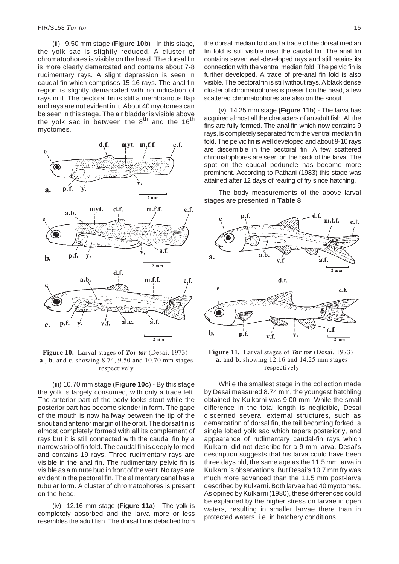<span id="page-21-0"></span>(ii) 9.50 mm stage (**Figure 10b**) - In this stage, the yolk sac is slightly reduced. A cluster of chromatophores is visible on the head. The dorsal fin is more clearly demarcated and contains about 7-8 rudimentary rays. A slight depression is seen in caudal fin which comprises 15-16 rays. The anal fin region is slightly demarcated with no indication of rays in it. The pectoral fin is still a membranous flap and rays are not evident in it. About 40 myotomes can be seen in this stage. The air bladder is visible above the yolk sac in between the  $8<sup>th</sup>$  and the 16<sup>th</sup> myotomes.



**Figure 10.** Larval stages of *Tor tor* (Desai, 1973) **a**., **b**. and **c**. showing 8.74, 9.50 and 10.70 mm stages respectively

(iii) 10.70 mm stage (**Figure 10c**) - By this stage the yolk is largely consumed, with only a trace left. The anterior part of the body looks stout while the posterior part has become slender in form. The gape of the mouth is now halfway between the tip of the snout and anterior margin of the orbit. The dorsal fin is almost completely formed with all its complement of rays but it is still connected with the caudal fin by a narrow strip of fin fold. The caudal fin is deeply formed and contains 19 rays. Three rudimentary rays are visible in the anal fin. The rudimentary pelvic fin is visible as a minute bud in front of the vent. No rays are evident in the pectoral fin. The alimentary canal has a tubular form. A cluster of chromatophores is present on the head.

(iv) 12.16 mm stage (**Figure 11a**) - The yolk is completely absorbed and the larva more or less resembles the adult fish. The dorsal fin is detached from the dorsal median fold and a trace of the dorsal median fin fold is still visible near the caudal fin. The anal fin contains seven well-developed rays and still retains its connection with the ventral median fold. The pelvic fin is further developed. A trace of pre-anal fin fold is also visible. The pectoral fin is still without rays. A black dense cluster of chromatophores is present on the head, a few scattered chromatophores are also on the snout.

(v) 14.25 mm stage **(Figure 11b**) - The larva has acquired almost all the characters of an adult fish. All the fins are fully formed. The anal fin which now contains 9 rays, is completely separated from the ventral median fin fold. The pelvic fin is well developed and about 9-10 rays are discernible in the pectoral fin. A few scattered chromatophores are seen on the back of the larva. The spot on the caudal peduncle has become more prominent. According to Pathani (1983) this stage was attained after 12 days of rearing of fry since hatching.

The body measurements of the above larval stages are presented in **Table 8**.



**Figure 11.** Larval stages of *Tor tor* (Desai, 1973) **a.** and **b.** showing 12.16 and 14.25 mm stages respectively

While the smallest stage in the collection made by Desai measured 8.74 mm, the youngest hatchling obtained by Kulkarni was 9.00 mm. While the small difference in the total length is negligible, Desai discerned several external structures, such as demarcation of dorsal fin, the tail becoming forked, a single lobed yolk sac which tapers posteriorly, and appearance of rudimentary caudal-fin rays which Kulkarni did not describe for a 9 mm larva. Desai's description suggests that his larva could have been three days old, the same age as the 11.5 mm larva in Kulkarni's observations. But Desai's 10.7 mm fry was much more advanced than the 11.5 mm post-larva described by Kulkarni. Both larvae had 40 myotomes. As opined by Kulkarni (1980), these differences could be explained by the higher stress on larvae in open waters, resulting in smaller larvae there than in protected waters, i.e. in hatchery conditions.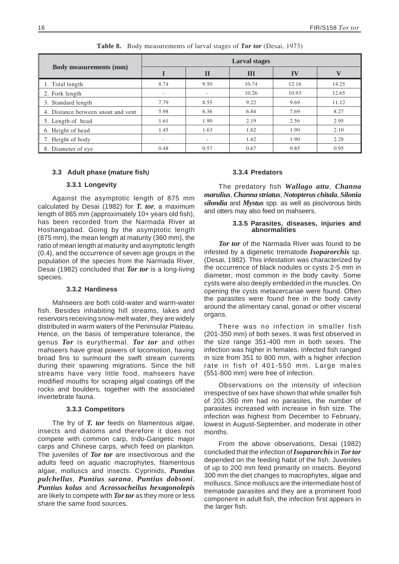<span id="page-22-0"></span>

|                                    | Larval stages            |                          |       |       |       |  |  |
|------------------------------------|--------------------------|--------------------------|-------|-------|-------|--|--|
| <b>Body measurements (mm)</b>      |                          | $\mathbf{I}$             | Ш     | IV    | V     |  |  |
| 1. Total length                    | 8.74                     | 9.50                     | 10.74 | 12.16 | 14.25 |  |  |
| 2. Fork length                     | -                        | $\overline{\phantom{a}}$ | 10.26 | 10.93 | 12.65 |  |  |
| 3. Standard length                 | 7.79                     | 8.55                     | 9.22  | 9.69  | 11.12 |  |  |
| 4. Distance between snout and vent | 5.98                     | 6.36                     | 6.84  | 7.69  | 8.27  |  |  |
| 5. Length of head                  | 1.61                     | 1.90                     | 2.19  | 2.56  | 2.95  |  |  |
| 6. Height of head                  | 1.45                     | 1.63                     | 1.62  | 1.90  | 2.10  |  |  |
| 7. Height of body                  | $\overline{\phantom{a}}$ | $\overline{\phantom{a}}$ | 1.62  | 1.90  | 2.28  |  |  |
| 8. Diameter of eye                 | 0.48                     | 0.57                     | 0.67  | 0.85  | 0.95  |  |  |

**Table 8.** Body measurements of larval stages of *Tor tor* (Desai, 1973)

## **3.3 Adult phase (mature fish***)*

## **3.3.1 Longevity**

Against the asymptotic length of 875 mm calculated by Desai (1982) for *T. tor*, a maximum length of 865 mm (approximately 10+ years old fish), has been recorded from the Narmada River at Hoshangabad. Going by the asymptotic length (875 mm), the mean length at maturity (360 mm), the ratio of mean length at maturity and asymptotic length (0.4), and the occurrence of seven age groups in the population of the species from the Narmada River, Desai (1982) concluded that *Tor tor* is a long-living species.

#### **3.3.2 Hardiness**

Mahseers are both cold-water and warm-water fish. Besides inhabiting hill streams, lakes and reservoirs receiving snow-melt water, they are widely distributed in warm waters of the Peninsular Plateau. Hence, on the basis of temperature tolerance, the genus *Tor* is eurythermal. *Tor tor* and other mahseers have great powers of locomotion, having broad fins to surmount the swift stream currents during their spawning migrations. Since the hill streams have very little food, mahseers have modified mouths for scraping algal coatings off the rocks and boulders, together with the associated invertebrate fauna.

#### **3.3.3 Competitors**

The fry of *T. tor* feeds on filamentous algae, insects and diatoms and therefore it does not compete with common carp, Indo-Gangetic major carps and Chinese carps, which feed on plankton. The juveniles of *Tor tor* are insectivorous and the adults feed on aquatic macrophytes, filamentous algae, molluscs and insects. Cyprinids, *Puntius pulchellus*, *Puntius sarana*, *Puntius dobsoni*, *Puntius kolus* and *Acrossocheilus hexagonolepis* are likely to compete with *Tor tor* as they more or less share the same food sources.

## **3.3.4 Predators**

The predatory fish *Wallago attu*, *Channa marulius*, *Channa striatus*, *Notopterus chitala*, *Silonia silondia* and *Mystus* spp. as well as piscivorous birds and otters may also feed on mahseers.

## **3.3.5 Parasites, diseases, injuries and abnormalities**

*Tor tor* of the Narmada River was found to be infested by a digenetic trematode *Isoparorchis* sp. (Desai, 1982). This infestation was characterized by the occurrence of black nodules or cysts 2-5 mm in diameter, most common in the body cavity. Some cysts were also deeply embedded in the muscles. On opening the cysts metacercariae were found. Often the parasites were found free in the body cavity around the alimentary canal, gonad or other visceral organs.

There was no infection in smaller fish (201-350 mm) of both sexes. It was first observed in the size range 351-400 mm in both sexes. The infection was higher in females. Infected fish ranged in size from 351 to 800 mm, with a higher infection rate in fish of 401-550 mm. Large males (551-800 mm) were free of infection.

Observations on the intensity of infection irrespective of sex have shown that while smaller fish of 201-350 mm had no parasites, the number of parasites increased with increase in fish size. The infection was highest from December to February, lowest in August-September, and moderate in other months.

From the above observations, Desai (1982) concluded that the infection of*Isoparorchis*in *Tor tor* depended on the feeding habit of the fish. Juveniles of up to 200 mm feed primarily on insects. Beyond 300 mm the diet changes to macrophytes, algae and molluscs. Since molluscs are the intermediate host of trematode parasites and they are a prominent food component in adult fish, the infection first appears in the larger fish.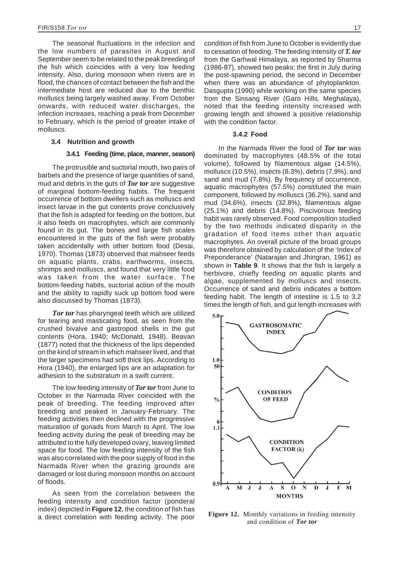<span id="page-23-0"></span>The seasonal fluctuations in the infection and the low numbers of parasites in August and September seem to be related to the peak breeding of the fish which coincides with a very low feeding intensity. Also, during monsoon when rivers are in flood, the chances of contact between the fish and the intermediate host are reduced due to the benthic molluscs being largely washed away. From October onwards, with reduced water discharges, the infection increases, reaching a peak from December to February, which is the period of greater intake of molluscs.

#### **3.4 Nutrition and growth**

#### **3.4.1 Feeding (time, place, manner, season)**

The protrusible and suctorial mouth, two pairs of barbels and the presence of large quantities of sand, mud and debris in the guts of *Tor tor* are suggestive of marginal bottom-feeding habits. The frequent occurrence of bottom dwellers such as molluscs and insect larvae in the gut contents prove conclusively that the fish is adapted for feeding on the bottom, but it also feeds on macrophytes, which are commonly found in its gut. The bones and large fish scales encountered in the guts of the fish were probably taken accidentally with other bottom food (Desai, 1970). Thomas (1873) observed that mahseer feeds on aquatic plants, crabs, earthworms, insects, shrimps and molluscs, and found that very little food was taken from the water surface. The bottom-feeding habits, suctorial action of the mouth and the ability to rapidly suck up bottom food were also discussed by Thomas (1873).

*Tor tor* has pharyngeal teeth which are utilized for tearing and masticating food, as seen from the crushed bivalve and gastropod shells in the gut contents (Hora, 1940; McDonald, 1948). Beavan (1877) noted that the thickness of the lips depended on the kind of stream in which mahseer lived, and that the larger specimens had soft thick lips. According to Hora (1940), the enlarged lips are an adaptation for adhesion to the substratum in a swift current.

The low feeding intensity of *Tor tor* from June to October in the Narmada River coincided with the peak of breeding. The feeding improved after breeding and peaked in January-February. The feeding activities then declined with the progressive maturation of gonads from March to April. The low feeding activity during the peak of breeding may be attributed to the fully developed ovary, leaving limited space for food. The low feeding intensity of the fish was also correlated with the poor supply of food in the Narmada River when the grazing grounds are damaged or lost during monsoon months on account of floods.

As seen from the correlation between the feeding intensity and condition factor (ponderal index) depicted in **Figure 12**, the condition of fish has a direct correlation with feeding activity. The poor condition of fish from June to October is evidently due to cessation of feeding. The feeding intensity of *T. tor* from the Garhwal Himalaya, as reported by Sharma (1986-87), showed two peaks: the first in July during the post-spawning period, the second in December when there was an abundance of phytoplankton. Dasgupta (1990) while working on the same species from the Sinsang River (Garo Hills, Meghalaya), noted that the feeding intensity increased with growing length and showed a positive relationship with the condition factor.

#### **3.4.2 Food**

In the Narmada River the food of *Tor tor* was dominated by macrophytes (48.5% of the total volume), followed by filamentous algae (14.5%), molluscs (10.5%), insects (8.3%), debris (7.9%), and sand and mud (7.8%). By frequency of occurrence, aquatic macrophytes (57.5%) constituted the main component, followed by molluscs (36.2%), sand and mud (34.6%), insects (32.8%), filamentous algae (25.1%) and debris (14.8%). Piscivorous feeding habit was rarely observed. Food composition studied by the two methods indicated disparity in the gradation of food items other than aquatic macrophytes. An overall picture of the broad groups was therefore obtained by calculation of the 'Index of Preponderance' (Natarajan and Jhingran, 1961) as shown in **Table 9**. It shows that the fish is largely a herbivore, chiefly feeding on aquatic plants and algae, supplemented by molluscs and insects. Occurrence of sand and debris indicates a bottom feeding habit. The length of intestine is 1.5 to 3.2 times the length of fish, and gut length increases with



**Figure 12.** Monthly variations in feeding intensity and condition of *Tor tor*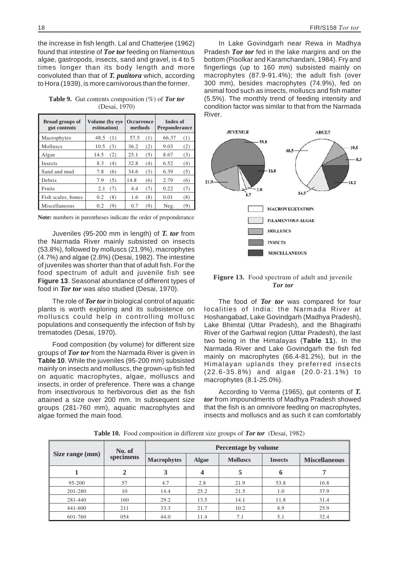<span id="page-24-0"></span>the increase in fish length. Lal and Chatterjee (1962) found that intestine of *Tor tor* feeding on filamentous algae, gastropods, insects, sand and gravel, is 4 to 5 times longer than its body length and more convoluted than that of *T. putitora* which, according to Hora (1939), is more carnivorous than the former.

**Table 9.** Gut contents composition (%) of *Tor tor* (Desai, 1970)

| <b>Broad groups of</b><br>gut contents | Volume (by eye<br>estimation) | <b>Occurrence</b><br>methods |      | Index of<br><b>Preponderance</b> |       |     |
|----------------------------------------|-------------------------------|------------------------------|------|----------------------------------|-------|-----|
| Macrophytes                            | 48.5                          | (1)                          | 57.5 | (1)                              | 66.37 | (1) |
| <b>Molluscs</b>                        | 10.5                          | (3)                          | 36.2 | (2)                              | 9.03  | (2) |
| Algae                                  | 14.5                          | (2)                          | 25.1 | (5)                              | 8.67  | (3) |
| Insects                                | 8.3                           | (4)                          | 32.8 | (4)                              | 6.52  | (4) |
| Sand and mud                           | 7.8                           | (6)                          | 34.6 | (3)                              | 6.39  | (5) |
| Debris                                 | 7.9                           | (5)                          | 14.8 | (6)                              | 2.79  | (6) |
| Fruits                                 | 2.1                           | (7)                          | 4.4  | (7)                              | 0.22  | (7) |
| Fish scales, bones                     | 0.2                           | (8)                          | 1.6  | (8)                              | 0.01  | (8) |
| Miscellaneous                          | 0.2                           | (9)                          | 0.7  | (9)                              | Neg.  | (9) |

**Note:** numbers in parentheses indicate the order of preponderance

Juveniles (95-200 mm in length) of *T. tor* from the Narmada River mainly subsisted on insects (53.8%), followed by molluscs (21.9%), macrophytes (4.7%) and algae (2.8%) (Desai, 1982). The intestine of juveniles was shorter than that of adult fish. For the food spectrum of adult and juvenile fish see **Figure 13**. Seasonal abundance of different types of food in *Tor tor* was also studied (Desai, 1970).

The role of *Tor tor*in biological control of aquatic plants is worth exploring and its subsistence on molluscs could help in controlling mollusc populations and consequently the infection of fish by trematodes (Desai, 1970).

Food composition (by volume) for different size groups of *Tor tor* from the Narmada River is given in **Table 10**. While the juveniles (95-200 mm) subsisted mainly on insects and molluscs, the grown-up fish fed on aquatic macrophytes, algae, molluscs and insects, in order of preference. There was a change from insectivorous to herbivorous diet as the fish attained a size over 200 mm. In subsequent size groups (281-760 mm), aquatic macrophytes and algae formed the main food.

In Lake Govindgarh near Rewa in Madhya Pradesh *Tor tor* fed in the lake margins and on the bottom (Pisolkar and Karamchandani, 1984). Fry and fingerlings (up to 160 mm) subsisted mainly on macrophytes (87.9-91.4%); the adult fish (over 300 mm), besides macrophytes (74.9%), fed on animal food such as insects, molluscs and fish matter (5.5%). The monthly trend of feeding intensity and condition factor was similar to that from the Narmada River.



**Figure 13.** Food spectrum of adult and juvenile *Tor tor*

The food of *Tor tor* was compared for four localities of India: the Narmada River at Hoshangabad, Lake Govindgarh (Madhya Pradesh), Lake Bhimtal (Uttar Pradesh), and the Bhagirathi River of the Garhwal region (Uttar Pradesh), the last two being in the Himalayas (**Table 11**). In the Narmada River and Lake Govindgarh the fish fed mainly on macrophytes (66.4-81.2%), but in the Himalayan uplands they preferred insects (22.6-35.8%) and algae (20.0-21.1%) to macrophytes (8.1-25.0%).

According to Verma (1965), gut contents of *T. tor* from impoundments of Madhya Pradesh showed that the fish is an omnivore feeding on macrophytes, insects and molluscs and as such it can comfortably

**Table 10.** Food composition in different size groups of *Tor tor* (Desai, 1982)

|                 | No. of    | Percentage by volume |              |                 |                |                      |
|-----------------|-----------|----------------------|--------------|-----------------|----------------|----------------------|
| Size range (mm) | specimens | <b>Macrophytes</b>   | <b>Algae</b> | <b>Molluscs</b> | <b>Insects</b> | <b>Miscellaneous</b> |
| 1               | 2         | 3                    | 4            | 5               | 6              |                      |
| 95-200          | 57        | 4.7                  | 2.8          | 21.9            | 53.8           | 16.8                 |
| 201-280         | 10        | 14.4                 | 25.2         | 21.5            | 1.0            | 37.9                 |
| 281-440         | 160       | 29.2                 | 13.5         | 14.1            | 11.8           | 31.4                 |
| 441-600         | 211       | 33.3                 | 21.7         | 10.2            | 8.9            | 25.9                 |
| 601-760         | 054       | 44.0                 | 11.4         | 7.1             | 5.1            | 32.4                 |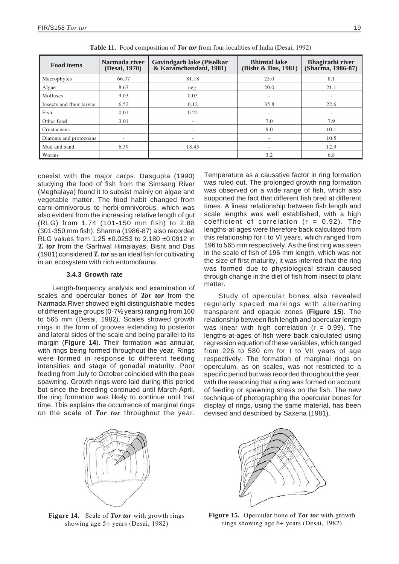<span id="page-25-0"></span>

| <b>Food items</b>        | Narmada river<br>(Desai, 1970) | Govindgarh lake (Pisolkar<br>& Karamchandani, 1981) | <b>Bhimtal lake</b><br>(Bisht & Das, 1981) | <b>Bhagirathi river</b><br>(Sharma, 1986-87) |
|--------------------------|--------------------------------|-----------------------------------------------------|--------------------------------------------|----------------------------------------------|
| Macrophytes              | 66.37                          | 81.18                                               | 25.0                                       | 8.1                                          |
| Algae                    | 8.67                           | neg.                                                | 20.0                                       | 21.1                                         |
| <b>Molluscs</b>          | 9.03                           | 0.03                                                | $\overline{\phantom{a}}$                   | -                                            |
| Insects and their larvae | 6.52                           | 0.12                                                | 35.8                                       | 22.6                                         |
| Fish                     | 0.01                           | 0.22                                                | $\overline{\phantom{a}}$                   | -                                            |
| Other food               | 3.01                           | $\overline{\phantom{a}}$                            | 7.0                                        | 7.9                                          |
| Crustaceans              | $\sim$                         | $\overline{\phantom{a}}$                            | 9.0                                        | 10.1                                         |
| Diatoms and protozoans   | $\overline{\phantom{a}}$       |                                                     | $\overline{\phantom{a}}$                   | 10.5                                         |
| Mud and sand             | 6.39                           | 18.45                                               | $\overline{\phantom{a}}$                   | 12.9                                         |
| Worms                    |                                |                                                     | 3.2                                        | 6.8                                          |

**Table 11.** Food composition of *Tor tor* from four localities of India (Desai, 1992)

coexist with the major carps. Dasgupta (1990) studying the food of fish from the Simsang River (Meghalaya) found it to subsist mainly on algae and vegetable matter. The food habit changed from carni-omnivorous to herbi-omnivorous, which was also evident from the increasing relative length of gut (RLG) from 1.74 (101-150 mm fish) to 2.88 (301-350 mm fish). Sharma (1986-87) also recorded RLG values from 1.25 ±0.0253 to 2.180 ±0.0912 in *T. tor* from the Garhwal Himalayas. Bisht and Das (1981) considered *T. tor* as an ideal fish for cultivating in an ecosystem with rich entomofauna.

# **3.4.3 Growth rate**

Length-frequency analysis and examination of scales and opercular bones of *Tor tor* from the Narmada River showed eight distinguishable modes of different age groups (0-7½ years) ranging from 160 to 565 mm (Desai, 1982). Scales showed growth rings in the form of grooves extending to posterior and lateral sides of the scale and being parallel to its margin (**Figure 14**). Their formation was annular, with rings being formed throughout the year. Rings were formed in response to different feeding intensities and stage of gonadal maturity. Poor feeding from July to October coincided with the peak spawning. Growth rings were laid during this period but since the breeding continued until March-April, the ring formation was likely to continue until that time. This explains the occurrence of marginal rings on the scale of *Tor tor* throughout the year.

**Figure 14.** Scale of *Tor tor* with growth rings showing age 5+ years (Desai, 1982)

Temperature as a causative factor in ring formation was ruled out. The prolonged growth ring formation was observed on a wide range of fish, which also supported the fact that different fish bred at different times. A linear relationship between fish length and scale lengths was well established, with a high coefficient of correlation  $(r = 0.92)$ . The lengths-at-ages were therefore back calculated from this relationship for I to VI years, which ranged from 196 to 565 mm respectively. As the first ring was seen in the scale of fish of 196 mm length, which was not the size of first maturity, it was inferred that the ring was formed due to physiological strain caused through change in the diet of fish from insect to plant matter.

Study of opercular bones also revealed regularly spaced markings with alternating transparent and opaque zones (**Figure 15**). The relationship between fish length and opercular length was linear with high correlation ( $r = 0.99$ ). The lengths-at-ages of fish were back calculated using regression equation of these variables, which ranged from 226 to 580 cm for I to VII years of age respectively. The formation of marginal rings on operculum, as on scales, was not restricted to a specific period but was recorded throughout the year, with the reasoning that a ring was formed on account of feeding or spawning stress on the fish. The new technique of photographing the opercular bones for display of rings, using the same material, has been devised and described by Saxena (1981).



**Figure 15.** Opercular bone of *Tor tor* with growth rings showing age 6+ years (Desai, 1982)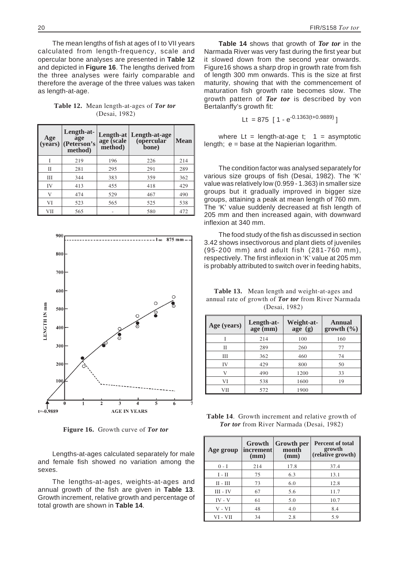<span id="page-26-0"></span>The mean lengths of fish at ages of I to VII years calculated from length-frequency, scale and opercular bone analyses are presented in **Table 12** and depicted in **Figure 16**. The lengths derived from the three analyses were fairly comparable and therefore the average of the three values was taken as length-at-age.

**Table 12.** Mean length-at-ages of *Tor tor* (Desai, 1982)

| Age<br>(vears) | Length-at-<br>age<br>(Peterson's<br>method) | age (scale<br>method) | Length-at   Length-at-age<br>(opercular<br>bone) | <b>Mean</b> |
|----------------|---------------------------------------------|-----------------------|--------------------------------------------------|-------------|
|                | 219                                         | 196                   | 226                                              | 214         |
| П              | 281                                         | 295                   | 291                                              | 289         |
| Ш              | 344                                         | 383                   | 359                                              | 362         |
| IV             | 413                                         | 455                   | 418                                              | 429         |
| V              | 474                                         | 529                   | 467                                              | 490         |
| VI             | 523                                         | 565                   | 525                                              | 538         |
| VII            | 565                                         |                       | 580                                              | 472         |



**Figure 16.** Growth curve of *Tor tor*

Lengths-at-ages calculated separately for male and female fish showed no variation among the sexes.

The lengths-at-ages, weights-at-ages and annual growth of the fish are given in **Table 13**. Growth increment, relative growth and percentage of total growth are shown in **Table 14**.

**Table 14** shows that growth of *Tor tor* in the Narmada River was very fast during the first year but it slowed down from the second year onwards. Figure16 shows a sharp drop in growth rate from fish of length 300 mm onwards. This is the size at first maturity, showing that with the commencement of maturation fish growth rate becomes slow. The growth pattern of *Tor tor* is described by von Bertalanffy's growth fit:

$$
Lt = 875 [1 - e^{-0.1363(t + 0.9889)}]
$$

where  $Lt = length-at-age$  t;  $1 = asymptotic$ length; e = base at the Napierian logarithm.

The condition factor was analysed separately for various size groups of fish (Desai, 1982). The 'K' value was relatively low (0.959 - 1.363) in smaller size groups but it gradually improved in bigger size groups, attaining a peak at mean length of 760 mm. The 'K' value suddenly decreased at fish length of 205 mm and then increased again, with downward inflexion at 340 mm.

The food study of the fish as discussed in section 3.42 shows insectivorous and plant diets of juveniles (95-200 mm) and adult fish (281-760 mm), respectively. The first inflexion in 'K' value at 205 mm is probably attributed to switch over in feeding habits,

**Table 13.** Mean length and weight-at-ages and annual rate of growth of *Tor tor* from River Narmada (Desai, 1982)

| Age (years)  | Length-at-<br>age(mm) | Weight-at-<br>age (g) | Annual<br>growth (%) |
|--------------|-----------------------|-----------------------|----------------------|
|              | 214                   | 100                   | 160                  |
| Н            | 289                   | 260                   | 77                   |
| Ш            | 362                   | 460                   | 74                   |
| IV           | 429                   | 800                   | 50                   |
| $\mathbf{V}$ | 490                   | 1200                  | 33                   |
| VI           | 538                   | 1600                  | 19                   |
| VH           | 572                   | 1900                  |                      |

**Table 14**. Growth increment and relative growth of *Tor tor* from River Narmada (Desai, 1982)

| Age group  | Growth<br>increment<br>(mm) | Growth per<br>month<br>(mm) | <b>Percent of total</b><br>growth<br>(relative growth) |
|------------|-----------------------------|-----------------------------|--------------------------------------------------------|
| $0 - I$    | 214                         | 17.8                        | 37.4                                                   |
| $I - II$   | 75                          | 6.3                         | 13.1                                                   |
| $II - III$ | 73                          | 6.0                         | 12.8                                                   |
| $III - IV$ | 67                          | 5.6                         | 11.7                                                   |
| $IV - V$   | 61                          | 5.0                         | 10.7                                                   |
| $V - VI$   | 48                          | 4.0                         | 8.4                                                    |
| VI - VII   | 34                          | 2.8                         | 5.9                                                    |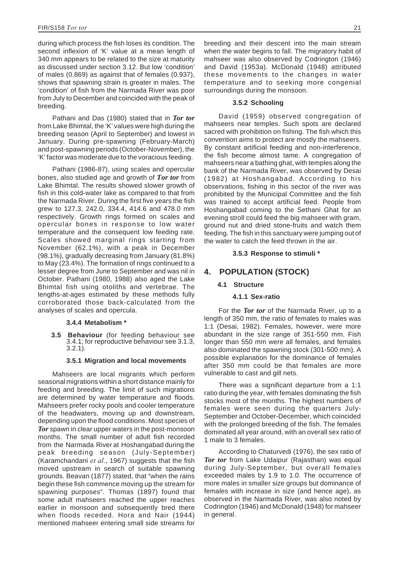<span id="page-27-0"></span>during which process the fish loses its condition. The second inflexion of 'K' value at a mean length of 340 mm appears to be related to the size at maturity as discussed under section 3.12. But low 'condition' of males (0.869) as against that of females (0.937), shows that spawning strain is greater in males. The 'condition' of fish from the Narmada River was poor from July to December and coincided with the peak of breeding.

Pathani and Das (1980) stated that in *Tor tor* from Lake Bhimtal, the 'K' values were high during the breeding season (April to September) and lowest in January. During pre-spawning (February-March) and post-spawning periods (October-November), the 'K' factor was moderate due to the voracious feeding.

Pathani (1986-87), using scales and opercular bones, also studied age and growth of *Tor tor* from Lake Bhimtal. The results showed slower growth of fish in this cold-water lake as compared to that from the Narmada River. During the first five years the fish grew to 127.3, 242.0, 334.4, 414.6 and 478.0 mm respectively. Growth rings formed on scales and opercular bones in response to low water temperature and the consequent low feeding rate. Scales showed marginal rings starting from November (62.1%), with a peak in December (98.1%), gradually decreasing from January (81.8%) to May (23.4%). The formation of rings continued to a lesser degree from June to September and was nil in October. Pathani (1980, 1988) also aged the Lake Bhimtal fish using otoliths and vertebrae. The lengths-at-ages estimated by these methods fully corroborated those back-calculated from the analyses of scales and opercula.

#### **3.4.4 Metabolism \***

**3.5 Behaviour** (for feeding behaviour see 3.4.1; for reproductive behaviour see 3.1.3, 3.2.1).

# **3.5.1 Migration and local movements**

Mahseers are local migrants which perform seasonal migrations within a short distance mainly for feeding and breeding. The limit of such migrations are determined by water temperature and floods. Mahseers prefer rocky pools and cooler temperature of the headwaters, moving up and downstream, depending upon the flood conditions. Most species of *Tor* spawn in clear upper waters in the post-monsoon months. The small number of adult fish recorded from the Narmada River at Hoshangabad during the peak breeding season (July-September) (Karamchandani *et al.*, 1967) suggests that the fish moved upstream in search of suitable spawning grounds. Beavan (1877) stated, that "when the rains begin these fish commence moving up the stream for spawning purposes". Thomas (1897) found that some adult mahseers reached the upper reaches earlier in monsoon and subsequently bred there when floods receded. Hora and Nair (1944) mentioned mahseer entering small side streams for breeding and their descent into the main stream when the water begins to fall. The migratory habit of mahseer was also observed by Codrington (1946) and David (1953a). McDonald (1948) attributed these movements to the changes in water temperature and to seeking more congenial surroundings during the monsoon.

# **3.5.2 Schooling**

David (1959) observed congregation of mahseers near temples. Such spots are declared sacred with prohibition on fishing. The fish which this convention aims to protect are mostly the mahseers. By constant artificial feeding and non-interference, the fish become almost tame. A congregation of mahseers near a bathing ghat, with temples along the bank of the Narmada River, was observed by Desai (1982) at Hoshangabad. According to his observations, fishing in this sector of the river was prohibited by the Municipal Committee and the fish was trained to accept artificial feed. People from Hoshangabad coming to the Sethani Ghat for an evening stroll could feed the big mahseer with gram, ground nut and dried stone-fruits and watch them feeding. The fish in this sanctuary were jumping out of the water to catch the feed thrown in the air.

## **3.5.3 Response to stimuli \***

# **4. POPULATION (STOCK)**

# **4.1 Structure**

#### **4.1.1 Sex-ratio**

For the *Tor tor* of the Narmada River, up to a length of 350 mm, the ratio of females to males was 1:1 (Desai, 1982). Females, however, were more abundant in the size range of 351-550 mm. Fish longer than 550 mm were all females, and females also dominated the spawning stock (301-500 mm). A possible explanation for the dominance of females after 350 mm could be that females are more vulnerable to cast and gill nets.

There was a significant departure from a 1:1 ratio during the year, with females dominating the fish stocks most of the months. The highest numbers of females were seen during the quarters July-September and October-December, which coincided with the prolonged breeding of the fish. The females dominated all year around, with an overall sex ratio of 1 male to 3 females.

According to Chaturvedi (1976), the sex ratio of *Tor tor* from Lake Udaipur (Rajasthan) was equal during July-September, but overall females exceeded males by 1.9 to 1.0. The occurrence of more males in smaller size groups but dominance of females with increase in size (and hence age), as observed in the Narmada River, was also noted by Codrington (1946) and McDonald (1948) for mahseer in general.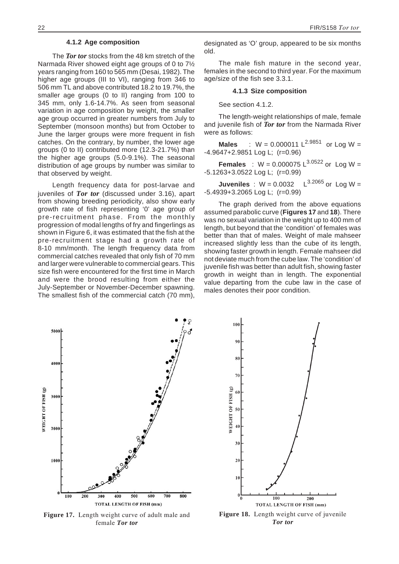5000

4006

#### **4.1.2 Age composition**

<span id="page-28-0"></span>The *Tor tor* stocks from the 48 km stretch of the Narmada River showed eight age groups of 0 to 7½ years ranging from 160 to 565 mm (Desai, 1982). The higher age groups (III to VI), ranging from 346 to 506 mm TL and above contributed 18.2 to 19.7%, the smaller age groups (0 to II) ranging from 100 to 345 mm, only 1.6-14.7%. As seen from seasonal variation in age composition by weight, the smaller age group occurred in greater numbers from July to September (monsoon months) but from October to June the larger groups were more frequent in fish catches. On the contrary, by number, the lower age groups (0 to II) contributed more (12.3-21.7%) than the higher age groups (5.0-9.1%). The seasonal distribution of age groups by number was similar to that observed by weight.

Length frequency data for post-larvae and juveniles of *Tor tor* (discussed under 3.16), apart from showing breeding periodicity, also show early growth rate of fish representing '0' age group of pre-recruitment phase. From the monthly progression of modal lengths of fry and fingerlings as shown in Figure 6, it was estimated that the fish at the pre-recruitment stage had a growth rate of 8-10 mm/month. The length frequency data from commercial catches revealed that only fish of 70 mm and larger were vulnerable to commercial gears. This size fish were encountered for the first time in March and were the brood resulting from either the July-September or November-December spawning. The smallest fish of the commercial catch (70 mm), designated as 'O' group, appeared to be six months

The male fish mature in the second year, females in the second to third year. For the maximum age/size of the fish see 3.3.1.

#### **4.1.3 Size composition**

See section 4.1.2.

old.

The length-weight relationships of male, female and juvenile fish of *Tor tor* from the Narmada River were as follows:

**Males** :  $W = 0.000011 \text{ L}^{2.9851}$  or Log W = -4.9647+2.9851 Log L; (r=0.96)

**Females** :  $W = 0.000075 \text{ L}^{3.0522} \text{ or } \text{Log } W =$ -5.1263+3.0522 Log L; (r=0.99)

**Juveniles** :  $W = 0.0032$   $L^{3.2065}$  or Log W = -5.4939+3.2065 Log L; (r=0.99)

The graph derived from the above equations assumed parabolic curve (**Figures 17** and **18**). There was no sexual variation in the weight up to 400 mm of length, but beyond that the 'condition' of females was better than that of males. Weight of male mahseer increased slightly less than the cube of its length, showing faster growth in length. Female mahseer did not deviate much from the cube law. The 'condition' of juvenile fish was better than adult fish, showing faster growth in weight than in length. The exponential value departing from the cube law in the case of males denotes their poor condition.

WEIGHT OF FISH (g) 3000 2000 1000 100 200 400 500 600 700 800 300 **TOTAL LENGTH OF FISH (mm)** 

**Figure 17.** Length weight curve of adult male and female *Tor tor*

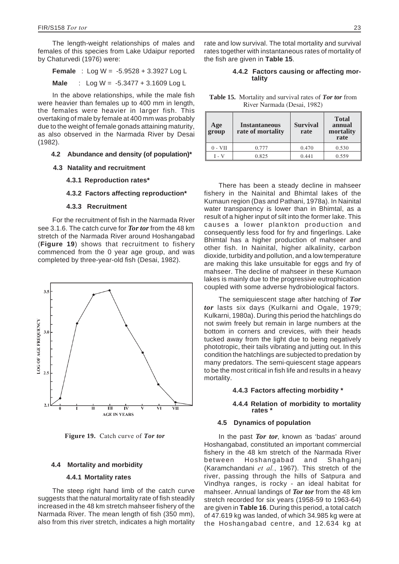<span id="page-29-0"></span>The length-weight relationships of males and females of this species from Lake Udaipur reported by Chaturvedi (1976) were:

**Female** : Log W = -5.9528 + 3.3927 Log L

**Male** : Log W = -5.3477 + 3.1609 Log L

In the above relationships, while the male fish were heavier than females up to 400 mm in length, the females were heavier in larger fish. This overtaking of male by female at 400 mm was probably due to the weight of female gonads attaining maturity, as also observed in the Narmada River by Desai (1982).

## **4.2 Abundance and density (of population)\***

- **4.3 Natality and recruitment**
	- **4.3.1 Reproduction rates\***

## **4.3.2 Factors affecting reproduction\***

#### **4.3.3 Recruitment**

For the recruitment of fish in the Narmada River see 3.1.6. The catch curve for *Tor tor* from the 48 km stretch of the Narmada River around Hoshangabad (**Figure 19**) shows that recruitment to fishery commenced from the 0 year age group, and was completed by three-year-old fish (Desai, 1982).



**Figure 19.** Catch curve of *Tor tor*

#### **4.4 Mortality and morbidity**

#### **4.4.1 Mortality rates**

The steep right hand limb of the catch curve suggests that the natural mortality rate of fish steadily increased in the 48 km stretch mahseer fishery of the Narmada River. The mean length of fish (350 mm), also from this river stretch, indicates a high mortality rate and low survival. The total mortality and survival rates together with instantaneous rates of mortality of the fish are given in **Table 15**.

# **4.4.2 Factors causing or affecting mor- tality**

**Table 15.** Mortality and survival rates of *Tor tor* from River Narmada (Desai, 1982)

| $\vert$ Age<br>group | <b>Instantaneous</b><br>rate of mortality | <b>Survival</b><br>rate | <b>Total</b><br>annual<br>mortality<br>rate |
|----------------------|-------------------------------------------|-------------------------|---------------------------------------------|
| $0 - VII$            | 0.777                                     | 0.470                   | 0.530                                       |
| 1 - V                | 0.825                                     | 0.441                   | 0.559                                       |

There has been a steady decline in mahseer fishery in the Nainital and Bhimtal lakes of the Kumaun region (Das and Pathani, 1978a). In Nainital water transparency is lower than in Bhimtal, as a result of a higher input of silt into the former lake. This causes a lower plankton production and consequently less food for fry and fingerlings. Lake Bhimtal has a higher production of mahseer and other fish. In Nainital, higher alkalinity, carbon dioxide, turbidity and pollution, and a low temperature are making this lake unsuitable for eggs and fry of mahseer. The decline of mahseer in these Kumaon lakes is mainly due to the progressive eutrophication coupled with some adverse hydrobiological factors.

The semiquiescent stage after hatching of *Tor tor* lasts six days (Kulkarni and Ogale, 1979; Kulkarni, 1980a). During this period the hatchlings do not swim freely but remain in large numbers at the bottom in corners and crevices, with their heads tucked away from the light due to being negatively phototropic, their tails vibrating and jutting out. In this condition the hatchlings are subjected to predation by many predators. The semi-quiescent stage appears to be the most critical in fish life and results in a heavy mortality.

## **4.4.3 Factors affecting morbidity \***

# **4.4.4 Relation of morbidity to mortality rates \***

## **4.5 Dynamics of population**

In the past *Tor tor*, known as 'badas' around Hoshangabad, constituted an important commercial fishery in the 48 km stretch of the Narmada River between Hoshangabad and Shahganj (Karamchandani *et al.*, 1967). This stretch of the river, passing through the hills of Satpura and Vindhya ranges, is rocky - an ideal habitat for mahseer. Annual landings of *Tor tor* from the 48 km stretch recorded for six years (1958-59 to 1963-64) are given in **Table 16**. During this period, a total catch of 47.619 kg was landed, of which 34.985 kg were at the Hoshangabad centre, and 12.634 kg at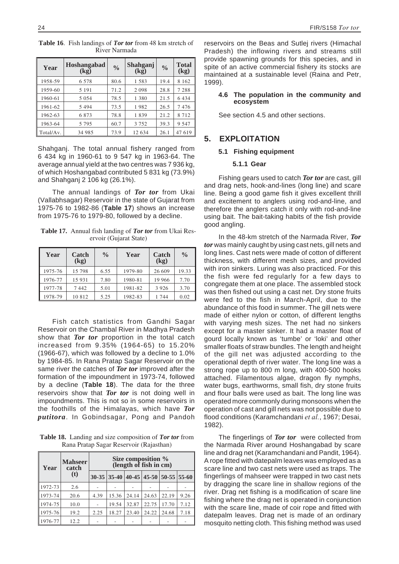| Year      | <b>Hoshangabad</b><br>(kg) | $\frac{0}{0}$ | Shahganj<br>(kg) | $\frac{0}{0}$ | <b>Total</b><br>(kg) |
|-----------|----------------------------|---------------|------------------|---------------|----------------------|
| 1958-59   | 6 5 7 8                    | 80.6          | 1583             | 19.4          | 8 1 6 2              |
| 1959-60   | 5 1 9 1                    | 71.2          | 2 0 9 8          | 28.8          | 7 288                |
| 1960-61   | 5 0 5 4                    | 78.5          | 1 3 8 0          | 21.5          | 6 4 3 4              |
| 1961-62   | 5494                       | 73.5          | 1982             | 26.5          | 7476                 |
| 1962-63   | 6873                       | 78.8          | 1839             | 21.2          | 8 7 1 2              |
| 1963-64   | 5 7 9 5                    | 60.7          | 3 7 5 2          | 39.3          | 9 5 4 7              |
| Total/Av. | 34 985                     | 73.9          | 12 634           | 26.1          | 47 619               |

**Table 16**. Fish landings of *Tor tor* from 48 km stretch of River Narmada

Shahganj. The total annual fishery ranged from 6 434 kg in 1960-61 to 9 547 kg in 1963-64. The average annual yield at the two centres was 7 936 kg, of which Hoshangabad contributed 5 831 kg (73.9%) and Shahganj 2 106 kg (26.1%).

The annual landings of *Tor tor* from Ukai (Vallabhsagar) Reservoir in the state of Gujarat from 1975-76 to 1982-86 (**Table 17**) shows an increase from 1975-76 to 1979-80, followed by a decline.

**Table 17.** Annual fish landing of *Tor tor* from Ukai Reservoir (Gujarat State)

| Year    | Catch<br>(kg) | $\frac{0}{0}$ | Year    | Catch<br>(kg) | $\frac{0}{0}$ |
|---------|---------------|---------------|---------|---------------|---------------|
| 1975-76 | 15 798        | 6.55          | 1979-80 | 26 609        | 19.33         |
| 1976-77 | 15 9 31       | 7.80          | 1980-81 | 19 966        | 7.70          |
| 1977-78 | 7442          | 5.01          | 1981-82 | 3 9 2 6       | 3.70          |
| 1978-79 | 10 812        | 5.25          | 1982-83 | 1 744         | 0.02          |

Fish catch statistics from Gandhi Sagar Reservoir on the Chambal River in Madhya Pradesh show that *Tor tor* proportion in the total catch increased from 9.35% (1964-65) to 15.20% (1966-67), which was followed by a decline to 1.0% by 1984-85. In Rana Pratap Sagar Reservoir on the same river the catches of *Tor tor* improved after the formation of the impoundment in 1973-74, followed by a decline (**Table 18**). The data for the three reservoirs show that *Tor tor* is not doing well in impoundments. This is not so in some reservoirs in the foothills of the Himalayas, which have *Tor putitora*. In Gobindsagar, Pong and Pandoh

**Table 18.** Landing and size composition of *Tor tor* from Rana Pratap Sagar Reservoir (Rajasthan)

| Year    | <b>Mahseer</b><br>catch | Size composition %<br>(length of fish in cm) |                                                 |       |       |       |      |
|---------|-------------------------|----------------------------------------------|-------------------------------------------------|-------|-------|-------|------|
|         | (t)                     |                                              | $30-35$   35-40   40-45   45-50   50-55   55-60 |       |       |       |      |
| 1972-73 | 2.6                     |                                              |                                                 |       |       |       |      |
| 1973-74 | 20.6                    | 4.39                                         | 15.36                                           | 24.14 | 24.63 | 22.19 | 9.26 |
| 1974-75 | 10.0                    | $\qquad \qquad \blacksquare$                 | 19.54                                           | 32.87 | 22.75 | 17.70 | 7.12 |
| 1975-76 | 19.2                    | 2.25                                         | 18.27                                           | 23.40 | 24.22 | 24.68 | 7.18 |
| 1976-77 | 12.2                    |                                              |                                                 |       |       |       |      |

reservoirs on the Beas and Sutlej rivers (Himachal Pradesh) the inflowing rivers and streams still provide spawning grounds for this species, and in spite of an active commercial fishery its stocks are maintained at a sustainable level (Raina and Petr, 1999).

# **4.6 The population in the community and ecosystem**

See section 4.5 and other sections.

# **5. EXPLOITATION**

# **5.1 Fishing equipment**

# **5.1.1 Gear**

Fishing gears used to catch *Tor tor* are cast, gill and drag nets, hook-and-lines (long line) and scare line. Being a good game fish it gives excellent thrill and excitement to anglers using rod-and-line, and therefore the anglers catch it only with rod-and-line using bait. The bait-taking habits of the fish provide good angling.

In the 48-km stretch of the Narmada River, *Tor tor* was mainly caught by using cast nets, gill nets and long lines. Cast nets were made of cotton of different thickness, with different mesh sizes, and provided with iron sinkers. Luring was also practiced. For this the fish were fed regularly for a few days to congregate them at one place. The assembled stock was then fished out using a cast net. Dry stone fruits were fed to the fish in March-April, due to the abundance of this food in summer. The gill nets were made of either nylon or cotton, of different lengths with varying mesh sizes. The net had no sinkers except for a master sinker. It had a master float of gourd locally known as 'tumbe' or 'loki' and other smaller floats of straw bundles. The length and height of the gill net was adjusted according to the operational depth of river water. The long line was a strong rope up to 800 m long, with 400-500 hooks attached. Filamentous algae, dragon fly nymphs, water bugs, earthworms, small fish, dry stone fruits and flour balls were used as bait. The long line was operated more commonly during monsoons when the operation of cast and gill nets was not possible due to flood conditions (Karamchandani *et al.*, 1967; Desai, 1982).

The fingerlings of *Tor tor* were collected from the Narmada River around Hoshangabad by scare line and drag net (Karamchandani and Pandit, 1964). A rope fitted with datepalm leaves was employed as a scare line and two cast nets were used as traps. The fingerlings of mahseer were trapped in two cast nets by dragging the scare line in shallow regions of the river. Drag net fishing is a modification of scare line fishing where the drag net is operated in conjunction with the scare line, made of coir rope and fitted with datepalm leaves. Drag net is made of an ordinary mosquito netting cloth. This fishing method was used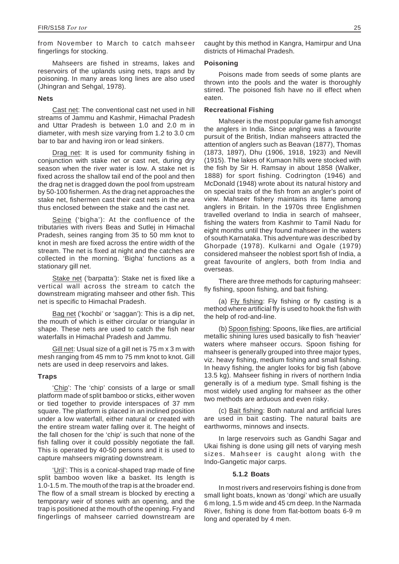from November to March to catch mahseer fingerlings for stocking.

Mahseers are fished in streams, lakes and reservoirs of the uplands using nets, traps and by poisoning. In many areas long lines are also used (Jhingran and Sehgal, 1978).

## **Nets**

Cast net: The conventional cast net used in hill streams of Jammu and Kashmir, Himachal Pradesh and Uttar Pradesh is between 1.0 and 2.0 m in diameter, with mesh size varying from 1.2 to 3.0 cm bar to bar and having iron or lead sinkers.

Drag net: It is used for community fishing in conjunction with stake net or cast net, during dry season when the river water is low. A stake net is fixed across the shallow tail end of the pool and then the drag net is dragged down the pool from upstream by 50-100 fishermen. As the drag net approaches the stake net, fishermen cast their cast nets in the area thus enclosed between the stake and the cast net.

Seine ('bigha'): At the confluence of the tributaries with rivers Beas and Sutlej in Himachal Pradesh, seines ranging from 35 to 50 mm knot to knot in mesh are fixed across the entire width of the stream. The net is fixed at night and the catches are collected in the morning. 'Bigha' functions as a stationary gill net.

Stake net ('barpatta'): Stake net is fixed like a vertical wall across the stream to catch the downstream migrating mahseer and other fish. This net is specific to Himachal Pradesh.

Bag net ('kochbi' or 'saggan'): This is a dip net, the mouth of which is either circular or triangular in shape. These nets are used to catch the fish near waterfalls in Himachal Pradesh and Jammu.

Gill net: Usual size of a gill net is 75 m x 3 m with mesh ranging from 45 mm to 75 mm knot to knot. Gill nets are used in deep reservoirs and lakes.

# **Traps**

'Chip': The 'chip' consists of a large or small platform made of split bamboo or sticks, either woven or tied together to provide interspaces of 37 mm square. The platform is placed in an inclined position under a low waterfall, either natural or created with the entire stream water falling over it. The height of the fall chosen for the 'chip' is such that none of the fish falling over it could possibly negotiate the fall. This is operated by 40-50 persons and it is used to capture mahseers migrating downstream.

'Uril': This is a conical-shaped trap made of fine split bamboo woven like a basket. Its length is 1.0-1.5 m. The mouth of the trap is at the broader end. The flow of a small stream is blocked by erecting a temporary weir of stones with an opening, and the trap is positioned at the mouth of the opening. Fry and fingerlings of mahseer carried downstream are caught by this method in Kangra, Hamirpur and Una districts of Himachal Pradesh.

## **Poisoning**

Poisons made from seeds of some plants are thrown into the pools and the water is thoroughly stirred. The poisoned fish have no ill effect when eaten.

# **Recreational Fishing**

Mahseer is the most popular game fish amongst the anglers in India. Since angling was a favourite pursuit of the British, Indian mahseers attracted the attention of anglers such as Beavan (1877), Thomas (1873, 1897), Dhu (1906, 1918, 1923) and Nevill (1915). The lakes of Kumaon hills were stocked with the fish by Sir H. Ramsay in about 1858 (Walker, 1888) for sport fishing. Codrington (1946) and McDonald (1948) wrote about its natural history and on special traits of the fish from an angler's point of view. Mahseer fishery maintains its fame among anglers in Britain. In the 1970s three Englishmen travelled overland to India in search of mahseer, fishing the waters from Kashmir to Tamil Nadu for eight months until they found mahseer in the waters of south Karnataka. This adventure was described by Ghorpade (1978). Kulkarni and Ogale (1979) considered mahseer the noblest sport fish of India, a great favourite of anglers, both from India and overseas.

There are three methods for capturing mahseer: fly fishing, spoon fishing, and bait fishing.

(a) Fly fishing: Fly fishing or fly casting is a method where artificial fly is used to hook the fish with the help of rod-and-line.

(b) Spoon fishing: Spoons, like flies, are artificial metallic shining lures used basically to fish 'heavier' waters where mahseer occurs. Spoon fishing for mahseer is generally grouped into three major types, viz. heavy fishing, medium fishing and small fishing. In heavy fishing, the angler looks for big fish (above 13.5 kg). Mahseer fishing in rivers of northern India generally is of a medium type. Small fishing is the most widely used angling for mahseer as the other two methods are arduous and even risky.

(c) Bait fishing: Both natural and artificial lures are used in bait casting. The natural baits are earthworms, minnows and insects.

In large reservoirs such as Gandhi Sagar and Ukai fishing is done using gill nets of varying mesh sizes. Mahseer is caught along with the Indo-Gangetic major carps.

#### **5.1.2 Boats**

In most rivers and reservoirs fishing is done from small light boats, known as 'dongi' which are usually 6 m long, 1.5 m wide and 45 cm deep. In the Narmada River, fishing is done from flat-bottom boats 6-9 m long and operated by 4 men.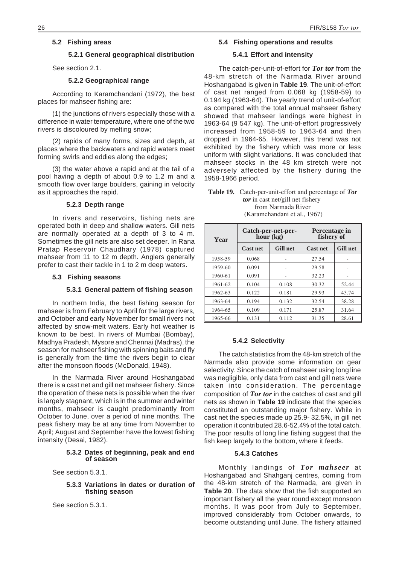# **5.2 Fishing areas**

#### **5.2.1 General geographical distribution**

See section 2.1.

# **5.2.2 Geographical range**

According to Karamchandani (1972), the best places for mahseer fishing are:

(1) the junctions of rivers especially those with a difference in water temperature, where one of the two rivers is discoloured by melting snow;

(2) rapids of many forms, sizes and depth, at places where the backwaters and rapid waters meet forming swirls and eddies along the edges;

(3) the water above a rapid and at the tail of a pool having a depth of about 0.9 to 1.2 m and a smooth flow over large boulders, gaining in velocity as it approaches the rapid.

# **5.2.3 Depth range**

In rivers and reservoirs, fishing nets are operated both in deep and shallow waters. Gill nets are normally operated at a depth of 3 to 4 m. Sometimes the gill nets are also set deeper. In Rana Pratap Reservoir Chaudhary (1978) captured mahseer from 11 to 12 m depth. Anglers generally prefer to cast their tackle in 1 to 2 m deep waters.

#### **5.3 Fishing seasons**

#### **5.3.1 General pattern of fishing season**

In northern India, the best fishing season for mahseer is from February to April for the large rivers, and October and early November for small rivers not affected by snow-melt waters. Early hot weather is known to be best. In rivers of Mumbai (Bombay), Madhya Pradesh, Mysore and Chennai (Madras), the season for mahseer fishing with spinning baits and fly is generally from the time the rivers begin to clear after the monsoon floods (McDonald, 1948).

In the Narmada River around Hoshangabad there is a cast net and gill net mahseer fishery. Since the operation of these nets is possible when the river is largely stagnant, which is in the summer and winter months, mahseer is caught predominantly from October to June, over a period of nine months. The peak fishery may be at any time from November to April; August and September have the lowest fishing intensity (Desai, 1982).

## **5.3.2 Dates of beginning, peak and end of season**

See section 5.3.1.

#### **5.3.3 Variations in dates or duration of fishing season**

See section 5.3.1.

#### **5.4 Fishing operations and results**

# **5.4.1 Effort and intensity**

The catch-per-unit-of-effort for *Tor tor* from the 48-km stretch of the Narmada River around Hoshangabad is given in **Table 19**. The unit-of-effort of cast net ranged from 0.068 kg (1958-59) to 0.194 kg (1963-64). The yearly trend of unit-of-effort as compared with the total annual mahseer fishery showed that mahseer landings were highest in 1963-64 (9 547 kg). The unit-of-effort progressively increased from 1958-59 to 1963-64 and then dropped in 1964-65. However, this trend was not exhibited by the fishery which was more or less uniform with slight variations. It was concluded that mahseer stocks in the 48 km stretch were not adversely affected by the fishery during the 1958-1966 period.

| <b>Table 19.</b> Catch-per-unit-effort and percentage of Tor |
|--------------------------------------------------------------|
| <i>tor</i> in cast net/gill net fishery                      |
| from Narmada River                                           |
| (Karamchandani et al., 1967)                                 |

| Year    | $ho\bar{u}$ r (kg) | Catch-per-net-per- | Percentage in<br>fishery of |                 |  |
|---------|--------------------|--------------------|-----------------------------|-----------------|--|
|         | <b>Cast net</b>    | <b>Gill net</b>    | <b>Cast net</b>             | <b>Gill net</b> |  |
| 1958-59 | 0.068              |                    | 27.54                       |                 |  |
| 1959-60 | 0.091              | ۰                  | 29.58                       |                 |  |
| 1960-61 | 0.091              |                    | 32.23                       |                 |  |
| 1961-62 | 0.104              | 0.108              | 30.32                       | 52.44           |  |
| 1962-63 | 0.122              | 0.181              | 29.93                       | 43.74           |  |
| 1963-64 | 0.194              | 0.132              | 32.54                       | 38.28           |  |
| 1964-65 | 0.109              | 0.171              | 25.87                       | 31.64           |  |
| 1965-66 | 0.131              | 0.112              | 31.35                       | 28.61           |  |

#### **5.4.2 Selectivity**

The catch statistics from the 48-km stretch of the Narmada also provide some information on gear selectivity. Since the catch of mahseer using long line was negligible, only data from cast and gill nets were taken into consideration. The percentage composition of *Tor tor* in the catches of cast and gill nets as shown in **Table 19** indicate that the species constituted an outstanding major fishery. While in cast net the species made up 25.9- 32.5%, in gill net operation it contributed 28.6-52.4% of the total catch. The poor results of long line fishing suggest that the fish keep largely to the bottom, where it feeds.

#### **5.4.3 Catches**

Monthly landings of *Tor mahseer* at Hoshangabad and Shahganj centres, coming from the 48-km stretch of the Narmada, are given in **Table 20**. The data show that the fish supported an important fishery all the year round except monsoon months. It was poor from July to September, improved considerably from October onwards, to become outstanding until June. The fishery attained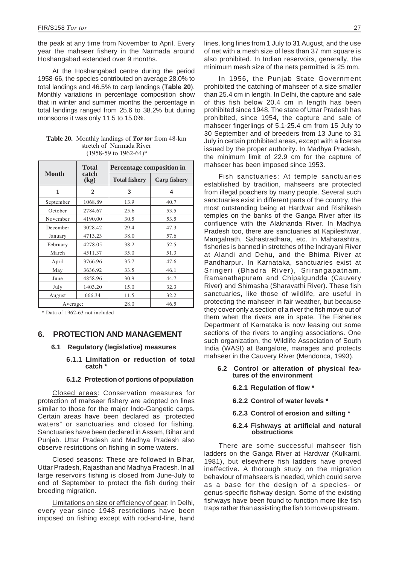the peak at any time from November to April. Every year the mahseer fishery in the Narmada around Hoshangabad extended over 9 months.

At the Hoshangabad centre during the period 1958-66, the species contributed on average 28.0% to total landings and 46.5% to carp landings (**Table 20**). Monthly variations in percentage composition show that in winter and summer months the percentage in total landings ranged from 25.6 to 38.2% but during monsoons it was only 11.5 to 15.0%.

|              | <b>Total</b>  | Percentage composition in |                         |  |
|--------------|---------------|---------------------------|-------------------------|--|
| <b>Month</b> | catch<br>(kg) | <b>Total fishery</b>      | <b>Carp fishery</b>     |  |
| 1            | $\mathbf{2}$  | 3                         | $\overline{\mathbf{4}}$ |  |
| September    | 1068.89       | 13.9                      | 40.7                    |  |
| October      | 2784.67       | 25.6                      | 53.5                    |  |
| November     | 4190.00       | 30.5                      | 53.5                    |  |
| December     | 3028.42       | 29.4                      | 47.3                    |  |
| January      | 4713.23       | 38.0                      | 57.6                    |  |
| February     | 4278.05       | 38.2                      | 52.5                    |  |
| March        | 4511.37       | 35.0                      | 51.3                    |  |
| April        | 3766.96       | 35.7                      | 47.6                    |  |
| May          | 3636.92       | 33.5                      | 46.1                    |  |
| June         | 4858.96       | 30.9                      | 44.7                    |  |
| July         | 1403.20       | 15.0                      | 32.3                    |  |
| August       | 666.34        | 11.5                      | 32.2                    |  |
| Average:     |               | 28.0                      | 46.5                    |  |

**Table 20.** Monthly landings of *Tor tor* from 48-km stretch of Narmada River (1958-59 to 1962-64)\*

\* Data of 1962-63 not included

# **6. PROTECTION AND MANAGEMENT**

# **6.1 Regulatory (legislative) measures**

**6.1.1 Limitation or reduction of total catch \***

# **6.1.2 Protection of portions of population**

Closed areas: Conservation measures for protection of mahseer fishery are adopted on lines similar to those for the major Indo-Gangetic carps. Certain areas have been declared as "protected waters" or sanctuaries and closed for fishing. Sanctuaries have been declared in Assam, Bihar and Punjab. Uttar Pradesh and Madhya Pradesh also observe restrictions on fishing in some waters.

Closed seasons: These are followed in Bihar, Uttar Pradesh, Rajasthan and Madhya Pradesh. In all large reservoirs fishing is closed from June-July to end of September to protect the fish during their breeding migration.

Limitations on size or efficiency of gear: In Delhi, every year since 1948 restrictions have been imposed on fishing except with rod-and-line, hand lines, long lines from 1 July to 31 August, and the use of net with a mesh size of less than 37 mm square is also prohibited. In Indian reservoirs, generally, the minimum mesh size of the nets permitted is 25 mm.

In 1956, the Punjab State Government prohibited the catching of mahseer of a size smaller than 25.4 cm in length. In Delhi, the capture and sale of this fish below 20.4 cm in length has been prohibited since 1948. The state of Uttar Pradesh has prohibited, since 1954, the capture and sale of mahseer fingerlings of 5.1-25.4 cm from 15 July to 30 September and of breeders from 13 June to 31 July in certain prohibited areas, except with a license issued by the proper authority. In Madhya Pradesh, the minimum limit of 22.9 cm for the capture of mahseer has been imposed since 1953.

Fish sanctuaries: At temple sanctuaries established by tradition, mahseers are protected from illegal poachers by many people. Several such sanctuaries exist in different parts of the country, the most outstanding being at Hardwar and Rishikesh temples on the banks of the Ganga River after its confluence with the Alaknanda River. In Madhya Pradesh too, there are sanctuaries at Kapileshwar, Mangalnath, Sahastradhara, etc. In Maharashtra, fisheries is banned in stretches of the Indrayani River at Alandi and Dehu, and the Bhima River at Pandharpur. In Karnataka, sanctuaries exist at Sringeri (Bhadra River), Srirangapatnam, Ramanathapuram and Chipalgundda (Cauvery River) and Shimasha (Sharavathi River). These fish sanctuaries, like those of wildlife, are useful in protecting the mahseer in fair weather, but because they cover only a section of a river the fish move out of them when the rivers are in spate. The Fisheries Department of Karnataka is now leasing out some sections of the rivers to angling associations. One such organization, the Wildlife Association of South India (WASI) at Bangalore, manages and protects mahseer in the Cauvery River (Mendonca, 1993).

# **6.2 Control or alteration of physical fea- tures of the environment**

- **6.2.1 Regulation of flow \***
- **6.2.2 Control of water levels \***
- **6.2.3 Control of erosion and silting \***

# **6.2.4 Fishways at artificial and natural obstructions**

There are some successful mahseer fish ladders on the Ganga River at Hardwar (Kulkarni, 1981), but elsewhere fish ladders have proved ineffective. A thorough study on the migration behaviour of mahseers is needed, which could serve as a base for the design of a species- or genus-specific fishway design. Some of the existing fishways have been found to function more like fish traps rather than assisting the fish to move upstream.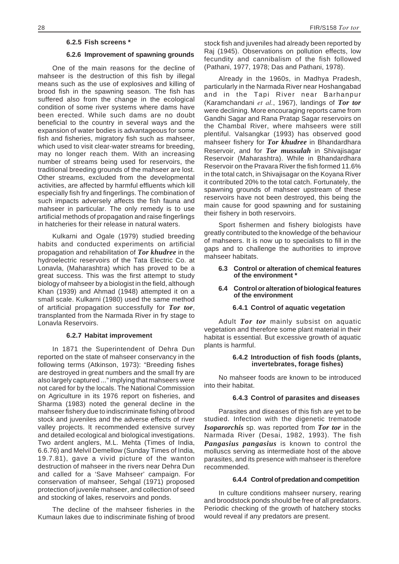#### **6.2.5 Fish screens \***

#### **6.2.6 Improvement of spawning grounds**

One of the main reasons for the decline of mahseer is the destruction of this fish by illegal means such as the use of explosives and killing of brood fish in the spawning season. The fish has suffered also from the change in the ecological condition of some river systems where dams have been erected. While such dams are no doubt beneficial to the country in several ways and the expansion of water bodies is advantageous for some fish and fisheries, migratory fish such as mahseer, which used to visit clear-water streams for breeding, may no longer reach them. With an increasing number of streams being used for reservoirs, the traditional breeding grounds of the mahseer are lost. Other streams, excluded from the developmental activities, are affected by harmful effluents which kill especially fish fry and fingerlings. The combination of such impacts adversely affects the fish fauna and mahseer in particular. The only remedy is to use artificial methods of propagation and raise fingerlings in hatcheries for their release in natural waters.

Kulkarni and Ogale (1979) studied breeding habits and conducted experiments on artificial propagation and rehabilitation of *Tor khudree* in the hydroelectric reservoirs of the Tata Electric Co. at Lonavla, (Maharashtra) which has proved to be a great success. This was the first attempt to study biology of mahseer by a biologist in the field, although Khan (1939) and Ahmad (1948) attempted it on a small scale. Kulkarni (1980) used the same method of artificial propagation successfully for *Tor tor*, transplanted from the Narmada River in fry stage to Lonavla Reservoirs.

# **6.2.7 Habitat improvement**

In 1871 the Superintendent of Dehra Dun reported on the state of mahseer conservancy in the following terms (Atkinson, 1973): "Breeding fishes are destroyed in great numbers and the small fry are also largely captured ..." implying that mahseers were not cared for by the locals. The National Commission on Agriculture in its 1976 report on fisheries, and Sharma (1983) noted the general decline in the mahseer fishery due to indiscriminate fishing of brood stock and juveniles and the adverse effects of river valley projects. It recommended extensive survey and detailed ecological and biological investigations. Two ardent anglers, M.L. Mehta (Times of India, 6.6.76) and Melvil Demellow (Sunday Times of India, 19.7.81), gave a vivid picture of the wanton destruction of mahseer in the rivers near Dehra Dun and called for a 'Save Mahseer' campaign. For conservation of mahseer, Sehgal (1971) proposed protection of juvenile mahseer, and collection of seed and stocking of lakes, reservoirs and ponds.

The decline of the mahseer fisheries in the Kumaun lakes due to indiscriminate fishing of brood stock fish and juveniles had already been reported by Raj (1945). Observations on pollution effects, low fecundity and cannibalism of the fish followed (Pathani, 1977, 1978; Das and Pathani, 1978).

Already in the 1960s, in Madhya Pradesh, particularly in the Narmada River near Hoshangabad and in the Tapi River near Barhanpur (Karamchandani *et al.*, 1967), landings of *Tor tor* were declining. More encouraging reports came from Gandhi Sagar and Rana Pratap Sagar reservoirs on the Chambal River, where mahseers were still plentiful. Valsangkar (1993) has observed good mahseer fishery for *Tor khudree* in Bhandardhara Reservoir, and for *Tor mussulah* in Shivajisagar Reservoir (Maharashtra). While in Bhandardhara Reservoir on the Pravara River the fish formed 11.6% in the total catch, in Shivajisagar on the Koyana River it contributed 20% to the total catch. Fortunately, the spawning grounds of mahseer upstream of these reservoirs have not been destroyed, this being the main cause for good spawning and for sustaining their fishery in both reservoirs.

Sport fishermen and fishery biologists have greatly contributed to the knowledge of the behaviour of mahseers. It is now up to specialists to fill in the gaps and to challenge the authorities to improve mahseer habitats.

#### **6.3 Control or alteration of chemical features of the environment \***

# **6.4 Control or alteration of biological features of the environment**

# **6.4.1 Control of aquatic vegetation**

Adult *Tor tor* mainly subsist on aquatic vegetation and therefore some plant material in their habitat is essential. But excessive growth of aquatic plants is harmful.

#### **6.4.2 Introduction of fish foods (plants, invertebrates, forage fishes)**

No mahseer foods are known to be introduced into their habitat.

# **6.4.3 Control of parasites and diseases**

Parasites and diseases of this fish are yet to be studied. Infection with the digenetic trematode *Isoparorchis* sp. was reported from *Tor tor* in the Narmada River (Desai, 1982, 1993). The fish *Pangasius pangasius* is known to control the molluscs serving as intermediate host of the above parasites, and its presence with mahseer is therefore recommended.

# **6.4.4 Control of predation and competition**

In culture conditions mahseer nursery, rearing and broodstock ponds should be free of all predators. Periodic checking of the growth of hatchery stocks would reveal if any predators are present.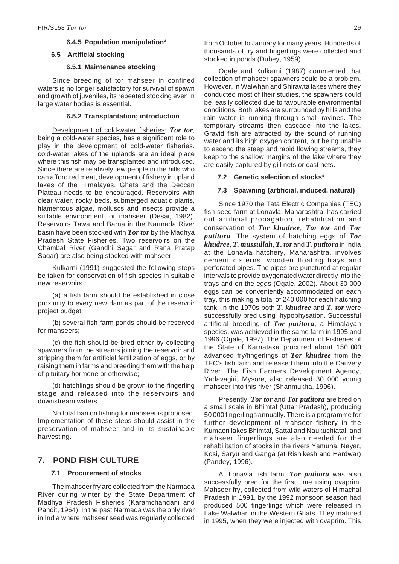## **6.4.5 Population manipulation\***

#### **6.5 Artificial stocking**

## **6.5.1 Maintenance stocking**

Since breeding of tor mahseer in confined waters is no longer satisfactory for survival of spawn and growth of juveniles, its repeated stocking even in large water bodies is essential.

### **6.5.2 Transplantation; introduction**

Development of cold-water fisheries: *Tor tor*, being a cold-water species, has a significant role to play in the development of cold-water fisheries. cold-water lakes of the uplands are an ideal place where this fish may be transplanted and introduced. Since there are relatively few people in the hills who can afford red meat, development of fishery in upland lakes of the Himalayas, Ghats and the Deccan Plateau needs to be encouraged. Reservoirs with clear water, rocky beds, submerged aquatic plants, filamentous algae, molluscs and insects provide a suitable environment for mahseer (Desai, 1982). Reservoirs Tawa and Barna in the Narmada River basin have been stocked with *Tor tor* by the Madhya Pradesh State Fisheries. Two reservoirs on the Chambal River (Gandhi Sagar and Rana Pratap Sagar) are also being stocked with mahseer.

Kulkarni (1991) suggested the following steps be taken for conservation of fish species in suitable new reservoirs :

(a) a fish farm should be established in close proximity to every new dam as part of the reservoir project budget;

(b) several fish-farm ponds should be reserved for mahseers;

(c) the fish should be bred either by collecting spawners from the streams joining the reservoir and stripping them for artificial fertilization of eggs, or by raising them in farms and breeding them with the help of pituitary hormone or otherwise;

(d) hatchlings should be grown to the fingerling stage and released into the reservoirs and downstream waters.

No total ban on fishing for mahseer is proposed. Implementation of these steps should assist in the preservation of mahseer and in its sustainable harvesting.

# **7. POND FISH CULTURE**

# **7.1 Procurement of stocks**

The mahseer fry are collected from the Narmada River during winter by the State Department of Madhya Pradesh Fisheries (Karamchandani and Pandit, 1964). In the past Narmada was the only river in India where mahseer seed was regularly collected from October to January for many years. Hundreds of thousands of fry and fingerlings were collected and stocked in ponds (Dubey, 1959).

Ogale and Kulkarni (1987) commented that collection of mahseer spawners could be a problem. However, in Walwhan and Shirawta lakes where they conducted most of their studies, the spawners could be easily collected due to favourable environmental conditions. Both lakes are surrounded by hills and the rain water is running through small ravines. The temporary streams then cascade into the lakes. Gravid fish are attracted by the sound of running water and its high oxygen content, but being unable to ascend the steep and rapid flowing streams, they keep to the shallow margins of the lake where they are easily captured by gill nets or cast nets.

#### **7.2 Genetic selection of stocks\***

## **7.3 Spawning (artificial, induced, natural)**

Since 1970 the Tata Electric Companies (TEC) fish-seed farm at Lonavla, Maharashtra, has carried out artificial propagation, rehabilitation and conservation of *Tor khudree*, *Tor tor* and *Tor putitora*. The system of hatching eggs of *Tor khudree*, *T. mussullah*, *T. tor* and *T. putitora* in India at the Lonavla hatchery, Maharashtra, involves cement cisterns, wooden floating trays and perforated pipes. The pipes are punctured at regular intervals to provide oxygenated water directly into the trays and on the eggs (Ogale, 2002). About 30 000 eggs can be conveniently accommodated on each tray, this making a total of 240 000 for each hatching tank. In the 1970s both *T. khudree* and *T. tor* were successfully bred using hypophysation. Successful artificial breeding of *Tor putitora*, a Himalayan species, was achieved in the same farm in 1995 and 1996 (Ogale, 1997). The Department of Fisheries of the State of Karnataka procured about 150 000 advanced fry/fingerlings of *Tor khudree* from the TEC's fish farm and released them into the Cauvery River. The Fish Farmers Development Agency, Yadavagiri, Mysore, also released 30 000 young mahseer into this river (Shanmukha, 1996).

Presently, *Tor tor* and *Tor putitora* are bred on a small scale in Bhimtal (Uttar Pradesh), producing 50 000 fingerlings annually. There is a programme for further development of mahseer fishery in the Kumaon lakes Bhimtal, Sattal and Naukuchiatal, and mahseer fingerlings are also needed for the rehabilitation of stocks in the rivers Yamuna, Nayar, Kosi, Saryu and Ganga (at Rishikesh and Hardwar) (Pandey, 1996).

At Lonavla fish farm, *Tor putitora* was also successfully bred for the first time using ovaprim. Mahseer fry, collected from wild waters of Himachal Pradesh in 1991, by the 1992 monsoon season had produced 500 fingerlings which were released in Lake Walwhan in the Western Ghats. They matured in 1995, when they were injected with ovaprim. This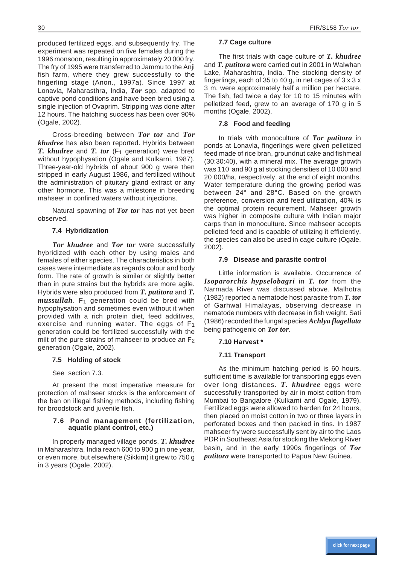produced fertilized eggs, and subsequently fry. The experiment was repeated on five females during the 1996 monsoon, resulting in approximately 20 000 fry. The fry of 1995 were transferred to Jammu to the Anji fish farm, where they grew successfully to the fingerling stage (Anon., 1997a). Since 1997 at Lonavla, Maharasthra, India, *Tor* spp. adapted to captive pond conditions and have been bred using a single injection of Ovaprim. Stripping was done after 12 hours. The hatching success has been over 90% (Ogale, 2002).

Cross-breeding between *Tor tor* and *Tor khudree* has also been reported. Hybrids between *T. khudree* and *T. tor* (F<sub>1</sub> generation) were bred without hypophysation (Ogale and Kulkarni, 1987). Three-year-old hybrids of about 900 g were then stripped in early August 1986, and fertilized without the administration of pituitary gland extract or any other hormone. This was a milestone in breeding mahseer in confined waters without injections.

Natural spawning of *Tor tor* has not yet been observed.

# **7.4 Hybridization**

*Tor khudree* and *Tor tor* were successfully hybridized with each other by using males and females of either species. The characteristics in both cases were intermediate as regards colour and body form. The rate of growth is similar or slightly better than in pure strains but the hybrids are more agile. Hybrids were also produced from *T. putitora* and *T. mussullah*. F<sub>1</sub> generation could be bred with hypophysation and sometimes even without it when provided with a rich protein diet, feed additives, exercise and running water. The eggs of F1 generation could be fertilized successfully with the milt of the pure strains of mahseer to produce an  $F_2$ generation (Ogale, 2002).

# **7.5 Holding of stock**

See section 7.3.

At present the most imperative measure for protection of mahseer stocks is the enforcement of the ban on illegal fishing methods, including fishing for broodstock and juvenile fish.

# **7.6 Pond management (fertilization, aquatic plant control, etc.)**

In properly managed village ponds, *T. khudree* in Maharashtra, India reach 600 to 900 g in one year, or even more, but elsewhere (Sikkim) it grew to 750 g in 3 years (Ogale, 2002).

# **7.7 Cage culture**

The first trials with cage culture of *T. khudree* and *T. putitora* were carried out in 2001 in Walwhan Lake, Maharashtra, India. The stocking density of fingerlings, each of 35 to 40 g, in net cages of 3 x 3 x 3 m, were approximately half a million per hectare. The fish, fed twice a day for 10 to 15 minutes with pelletized feed, grew to an average of 170 g in 5 months (Ogale, 2002).

# **7.8 Food and feeding**

In trials with monoculture of *Tor putitora* in ponds at Lonavla, fingerlings were given pelletized feed made of rice bran, groundnut cake and fishmeal (30:30:40), with a mineral mix. The average growth was 110 and 90 g at stocking densities of 10 000 and 20 000/ha, respectively, at the end of eight months. Water temperature during the growing period was between 24° and 28°C. Based on the growth preference, conversion and feed utilization, 40% is the optimal protein requirement. Mahseer growth was higher in composite culture with Indian major carps than in monoculture. Since mahseer accepts pelleted feed and is capable of utilizing it efficiently, the species can also be used in cage culture (Ogale, 2002).

# **7.9 Disease and parasite control**

Little information is available. Occurrence of *Isoparorchis hypselobagri* in *T. tor* from the Narmada River was discussed above. Malhotra (1982) reported a nematode host parasite from *T. tor* of Garhwal Himalayas, observing decrease in nematode numbers with decrease in fish weight. Sati (1986) recorded the fungal species *Achlya flagellata* being pathogenic on *Tor tor*.

# **7.10 Harvest \***

# **7.11 Transport**

As the minimum hatching period is 60 hours, sufficient time is available for transporting eggs even over long distances. *T. khudree* eggs were successfully transported by air in moist cotton from Mumbai to Bangalore (Kulkarni and Ogale, 1979). Fertilized eggs were allowed to harden for 24 hours, then placed on moist cotton in two or three layers in perforated boxes and then packed in tins. In 1987 mahseer fry were successfully sent by air to the Laos PDR in Southeast Asia for stocking the Mekong River basin, and in the early 1990s fingerlings of *Tor putitora* were transported to Papua New Guinea.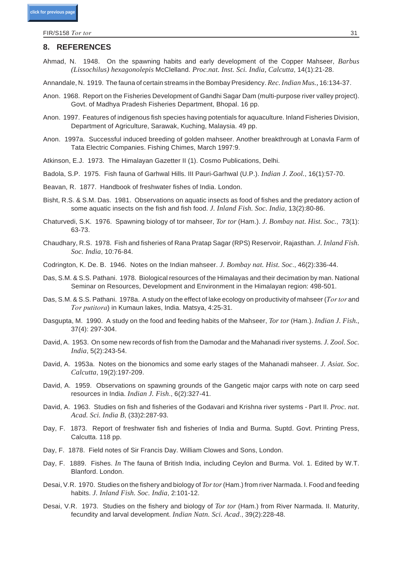FIR/S158 *Tor tor* 31

# 8. REFERENCES

- Ahmad, N. 1948. On the spawning habits and early development of the Copper Mahseer, *Barbus (Lissochilus) hexagonolepis* McClelland. *Proc.nat. Inst. Sci. In dia, Cal cutta*, 14(1):21-28.
- Annandale, N. 1919. The fauna of certain streams in the Bombay Presidency. Rec. Indian Mus., 16:134-37.
- Anon. 1968. Report on the Fisheries Development of Gandhi Sagar Dam (multi-purpose river valley project). Govt. of Madhya Pradesh Fisheries Department, Bhopal. 16 pp.
- Anon. 1997. Features of indigenous fish species having potentials for aquaculture. Inland Fisheries Division, Department of Agriculture, Sarawak, Kuching, Malaysia. 49 pp.
- Anon. 1997a. Successful induced breeding of golden mahseer. Another breakthrough at Lonavla Farm of Tata Electric Companies. Fishing Chimes, March 1997:9.
- Atkinson, E.J. 1973. The Himalayan Gazetter II (1). Cosmo Publications, Delhi.
- Badola, S.P. 1975. Fish fauna of Garhwal Hills. III Pauri-Garhwal (U.P.). *In dian J. Zool.*, 16(1):57-70.
- Beavan, R. 1877. Handbook of freshwater fishes of India. London.
- Bisht, R.S. & S.M. Das. 1981. Observations on aquatic insects as food of fishes and the predatory action of some aquatic insects on the fish and fish food. *J. Inland Fish. Soc. India*, 13(2):80-86.
- Chaturvedi, S.K. 1976. Spawning biology of tor mahseer, *Tor tor* (Ham.). *J. Bombay nat. Hist. Soc.*, 73(1): 63-73.
- Chaudhary, R.S. 1978. Fish and fisheries of Rana Pratap Sagar (RPS) Reservoir, Rajasthan. *J. Inland Fish. Soc. In dia*, 10:76-84.
- Codrington, K. De. B. 1946. Notes on the Indian mahseer. *J. Bombay nat. Hist. Soc.*, 46(2):336-44.
- Das, S.M. & S.S. Pathani. 1978. Biological resources of the Himalayas and their decimation by man. National Seminar on Resources, Development and Environment in the Himalayan region: 498-501.
- Das, S.M. & S.S. Pathani. 1978a. A study on the effect of lake ecology on productivity of mahseer (*Tor tor* and *Tor putitora*) in Kumaun lakes, India. Matsya, 4:25-31.
- Dasgupta, M. 1990. A study on the food and feeding habits of the Mahseer, *Tor tor* (Ham.). *Indian J. Fish.*, 37(4): 297-304.
- David, A. 1953. On some new records of fish from the Damodar and the Mahanadi river systems. *J. Zool. Soc. In dia*, 5(2):243-54.
- Da vid, A. 1953a. Notes on the bionomics and some early stages of the Mahanadi mahseer. *J. Asiat. Soc. Cal cutta*, 19(2):197-209.
- David, A. 1959. Observations on spawning grounds of the Gangetic major carps with note on carp seed resources in India. *Indian J. Fish.*, 6(2):327-41.
- David, A. 1963. Studies on fish and fisheries of the Godavari and Krishna river systems Part II. *Proc. nat. Acad. Sci. In dia B*, (33)2:287-93.
- Day, F. 1873. Report of freshwater fish and fisheries of India and Burma. Suptd. Govt. Printing Press, Calcutta. 118 pp.
- Day, F. 1878. Field notes of Sir Francis Day. William Clowes and Sons, London.
- Day, F. 1889. Fishes. *In* The fauna of British India, including Ceylon and Burma. Vol. 1. Edited by W.T. Blanford. London.
- Desai, V.R. 1970. Studies on the fishery and biology of *Tor tor* (Ham.) from river Narmada. I. Food and feeding hab its. *J. In land Fish. Soc. In dia*, 2:101-12.
- Desai, V.R. 1973. Studies on the fishery and biology of *Tor tor* (Ham.) from River Narmada. II. Maturity, fecundity and larval development. *Indian Natn. Sci. Acad.*, 39(2):228-48.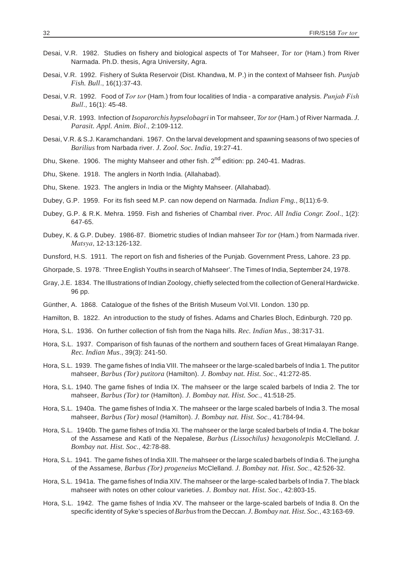- Desai, V.R. 1982. Studies on fishery and biological aspects of Tor Mahseer, *Tor tor* (Ham.) from River Narmada. Ph.D. thesis, Agra University, Agra.
- Desai, V.R. 1992. Fishery of Sukta Reservoir (Dist. Khandwa, M. P.) in the context of Mahseer fish. *Punjab Fish. Bull*., 16(1):37-43.
- Desai, V.R. 1992. Food of *Tor tor* (Ham.) from four localities of India a comparative analysis. *Punjab Fish Bull*., 16(1): 45-48.
- Desai, V.R. 1993. Infection of *Isoparorchis hypselobagri* in Tor mahseer, *Tor tor* (Ham.) of River Narmada. *J. Parasit. Appl. Anim. Biol*., 2:109-112.
- Desai, V.R. & S.J. Karamchandani. 1967. On the larval development and spawning seasons of two species of *Barilius* from Narbada river. *J. Zool. Soc. In dia*, 19:27-41.
- Dhu, Skene. 1906. The mighty Mahseer and other fish. 2<sup>nd</sup> edition: pp. 240-41. Madras.
- Dhu, Skene. 1918. The anglers in North India. (Allahabad).
- Dhu, Skene. 1923. The anglers in India or the Mighty Mahseer. (Allahabad).
- Dubey, G.P. 1959. For its fish seed M.P. can now depend on Narmada. *Indian Fmg.*, 8(11):6-9.
- Dubey, G.P. & R.K. Mehra. 1959. Fish and fisheries of Chambal river. *Proc. All India Congr. Zool.*, 1(2): 647-65.
- Dubey, K. & G.P. Dubey. 1986-87. Biometric studies of Indian mahseer *Tor tor* (Ham.) from Narmada river. *Matsya*, 12-13:126-132.
- Dunsford, H.S. 1911. The report on fish and fisheries of the Punjab. Government Press, Lahore. 23 pp.
- Ghorpade, S. 1978. 'Three English Youths in search of Mahseer'. The Times of India, September 24, 1978.
- Gray, J.E. 1834. The Illustrations of Indian Zoology, chiefly selected from the collection of General Hardwicke. 96 pp.
- Günther, A. 1868. Catalogue of the fishes of the British Museum Vol. VII. London. 130 pp.
- Hamilton, B. 1822. An introduction to the study of fishes. Adams and Charles Bloch, Edinburgh. 720 pp.
- Hora, S.L. 1936. On further collection of fish from the Naga hills. *Rec. Indian Mus.*, 38:317-31.
- Hora, S.L. 1937. Comparison of fish faunas of the northern and southern faces of Great Himalayan Range. *Rec. In dian Mus*., 39(3): 241-50.
- Hora, S.L. 1939. The game fishes of India VIII. The mahseer or the large-scaled barbels of India 1. The putitor mahseer, *Barbus (Tor) putitora* (Hamilton). *J. Bombay nat. Hist. Soc.*, 41:272-85.
- Hora, S.L. 1940. The game fishes of India IX. The mahseer or the large scaled barbels of India 2. The tor mahseer, *Barbus (Tor) tor (Hamilton). J. Bombay nat. Hist. Soc.*, 41:518-25.
- Hora, S.L. 1940a. The game fishes of India X. The mahseer or the large scaled barbels of India 3. The mosal mahseer, *Barbus (Tor) mosal* (Hamilton). *J. Bombay nat. Hist. Soc.*, 41:784-94.
- Hora, S.L. 1940b. The game fishes of India XI. The mahseer or the large scaled barbels of India 4. The bokar of the Assamese and Katli of the Nepalese, *Barbus (Lissochilus) hexagonolepis* McClelland. *J. Bom bay nat. Hist. Soc*., 42:78-88.
- Hora, S.L. 1941. The game fishes of India XIII. The mahseer or the large scaled barbels of India 6. The jungha of the Assamese, *Barbus (Tor) progeneius* McClelland. *J. Bom bay nat. Hist. Soc*., 42:526-32.
- Hora, S.L. 1941a. The game fishes of India XIV. The mahseer or the large-scaled barbels of India 7. The black mahseer with notes on other colour varieties. *J. Bombay nat. Hist. Soc.*, 42:803-15.
- Hora, S.L. 1942. The game fishes of India XV. The mahseer or the large-scaled barbels of India 8. On the specific identity of Syke's species of *Barbus* from the Deccan. *J. Bombay nat. Hist. Soc.*, 43:163-69.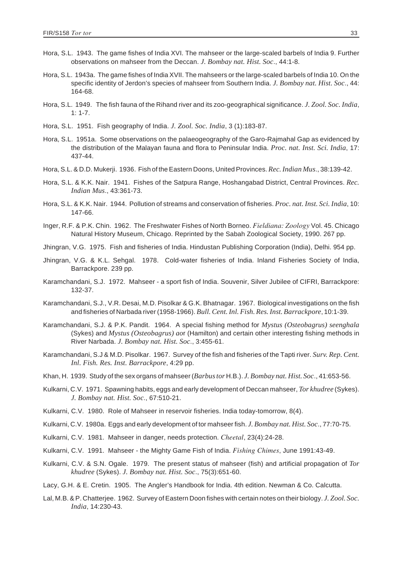- Hora, S.L. 1943. The game fishes of India XVI. The mahseer or the large-scaled barbels of India 9. Further observations on mahseer from the Deccan. *J. Bombay nat. Hist. Soc.*, 44:1-8.
- Hora, S.L. 1943a. The game fishes of India XVII. The mahseers or the large-scaled barbels of India 10. On the specific identity of Jerdon's species of mahseer from Southern India. *J. Bombay nat. Hist. Soc.*, 44: 164-68.
- Hora, S.L. 1949. The fish fauna of the Rihand river and its zoo-geographical significance. *J. Zool. Soc. India*,  $1: 1 - 7$
- Hora, S.L. 1951. Fish geography of India. *J. Zool. Soc. India*, 3 (1):183-87.
- Hora, S.L. 1951a. Some observations on the palaeogeography of the Garo-Rajmahal Gap as evidenced by the distribution of the Malayan fauna and flora to Peninsular India. *Proc. nat. Inst. Sci. India.* 17: 437-44.
- Hora, S.L. & D.D. Mukerji. 1936. Fish of the Eastern Doons, United Provinces. *Rec. Indian Mus.*, 38:139-42.
- Hora, S.L. & K.K. Nair. 1941. Fishes of the Satpura Range, Hoshangabad District, Central Provinces. *Rec. Indian Mus*., 43:361-73.
- Hora, S.L. & K.K. Nair. 1944. Pollution of streams and conservation of fisheries. *Proc. nat. Inst. Sci. India*, 10: 147-66.
- Inger, R.F. & P.K. Chin. 1962. The Freshwater Fishes of North Borneo. *Fieldiana: Zoology* Vol. 45. Chicago Natural History Museum, Chicago. Reprinted by the Sabah Zoological Society, 1990, 267 pp.
- Jhingran, V.G. 1975. Fish and fisheries of India. Hindustan Publishing Corporation (India), Delhi. 954 pp.
- Jhingran, V.G. & K.L. Sehgal. 1978. Cold-water fisheries of India. Inland Fisheries Society of India, Barrackpore. 239 pp.
- Karamchandani, S.J. 1972. Mahseer a sport fish of India. Souvenir, Silver Jubilee of CIFRI, Barrackpore: 132-37.
- Karamchandani, S.J., V.R. Desai, M.D. Pisolkar & G.K. Bhatnagar. 1967. Biological investigations on the fish and fish er ies of Narbada river (1958-1966). *Bull. Cent. Inl. Fish. Res. Inst. Barrackpore*, 10:1-39.
- Karamchandani, S.J. & P.K. Pandit. 1964. A special fishing method for *Mystus (Osteobagrus) seenghala* (Sykes) and *Mystus (Osteobagrus) aor* (Hamilton) and certain other interesting fishing methods in River Narbada. *J. Bombay nat. Hist. Soc.*, 3:455-61.
- Karamchandani, S.J & M.D. Pisolkar. 1967. Survey of the fish and fisheries of the Tapti river. *Surv. Rep. Cent. Inl. Fish. Res. Inst. Barrackpore*, 4:29 pp.
- Khan, H. 1939. Study of the sex organs of mahseer (*Barbus tor* H.B.). *J. Bombay nat. Hist. Soc.*, 41:653-56.
- Kulkarni, C.V. 1971. Spawning habits, eggs and early development of Deccan mahseer, *Tor khudree* (Sykes). *J. Bom bay nat. Hist. Soc*., 67:510-21.
- Kulkarni, C.V. 1980. Role of Mahseer in reservoir fisheries. India today-tomorrow, 8(4).
- Kulkarni, C.V. 1980a. Eggs and early development of tor mahseer fish. *J. Bombay nat. Hist. Soc.*, 77:70-75.
- Kulkarni, C.V. 1981. Mahseer in danger, needs protection. *Cheetal*, 23(4):24-28.
- Kulkarni, C.V. 1991. Mahseer the Mighty Game Fish of India. *Fishing Chimes*, June 1991:43-49.
- Kulkarni, C.V. & S.N. Ogale. 1979. The present status of mahseer (fish) and artificial propagation of *Tor khudree* (Sykes). *J. Bom bay nat. Hist. Soc*., 75(3):651-60.
- Lacy, G.H. & E. Cretin. 1905. The Angler's Handbook for India. 4th edition. Newman & Co. Calcutta.
- Lal, M.B. & P. Chatterjee. 1962. Survey of Eastern Doon fishes with certain notes on their biology. *J. Zool. Soc. In dia*, 14:230-43.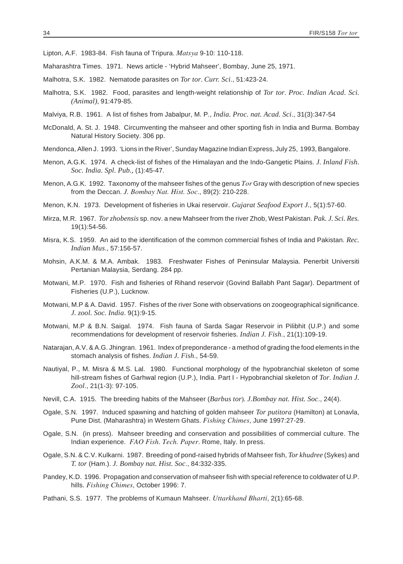Lipton, A.F. 1983-84. Fish fauna of Tripura. *Matsya* 9-10: 110-118.

Maharashtra Times. 1971. News article - 'Hybrid Mahseer', Bombay, June 25, 1971.

Malhotra, S.K. 1982. Nematode parasites on *Tor tor. Curr. Sci.*, 51:423-24.

- Malhotra, S.K. 1982. Food, parasites and length-weight relationship of *Tor tor. Proc. Indian Acad. Sci. (An i mal)*, 91:479-85.
- Malviya, R.B. 1961. A list of fishes from Jabalpur, M. P., *In dia. Proc. nat. Acad. Sci*., 31(3):347-54
- McDonald, A. St. J. 1948. Circumventing the mahseer and other sporting fish in India and Burma. Bombay Natural History Society. 306 pp.
- Mendonca, Allen J. 1993. 'Lions in the River', Sunday Magazine Indian Express, July 25, 1993, Bangalore.
- Menon, A.G.K. 1974. A check-list of fishes of the Himalayan and the Indo-Gangetic Plains. *J. Inland Fish. Soc. In dia. Spl. Pub.,* (1):45-47.
- Menon, A.G.K. 1992. Taxonomy of the mahseer fishes of the genus *Tor* Gray with description of new species from the Deccan. *J. Bombay Nat. Hist. Soc*., 89(2): 210-228.
- Menon, K.N. 1973. Development of fisheries in Ukai reservoir. *Gujarat Seafood Export J.*, 5(1):57-60.
- Mirza, M.R. 1967. *Tor zhobensis* sp. nov. a new Mahseer from the river Zhob, West Pakistan. *Pak. J. Sci. Res.* 19(1):54-56.
- Misra, K.S. 1959. An aid to the identification of the common commercial fishes of India and Pakistan. *Rec. In dian Mus*., 57:156-57.
- Mohsin, A.K.M. & M.A. Ambak. 1983. Freshwater Fishes of Peninsular Malaysia. Penerbit Universiti Pertanian Malaysia, Serdang. 284 pp.
- Motwani, M.P. 1970. Fish and fisheries of Rihand reservoir (Govind Ballabh Pant Sagar). Department of Fisheries (U.P.), Lucknow.
- Motwani, M.P & A. David. 1957. Fishes of the river Sone with observations on zoogeographical significance. *J. zool. Soc. In dia*. 9(1):9-15.
- Motwani, M.P & B.N. Saigal. 1974. Fish fauna of Sarda Sagar Reservoir in Pilibhit (U.P.) and some recommendations for development of reservoir fisheries. *Indian J. Fish.*, 21(1):109-19.
- Natarajan, A.V. & A.G. Jhingran. 1961. Index of preponderance a method of grading the food elements in the stomach analysis of fishes. *Indian J. Fish.*, 54-59.
- Nautiyal, P., M. Misra & M.S. Lal. 1980. Functional morphology of the hypobranchial skeleton of some hill-stream fishes of Garhwal region (U.P.), India. Part I - Hypobranchial skeleton of *Tor. Indian J. Zool*., 21(1-3): 97-105.
- Nevill, C.A. 1915. The breeding habits of the Mahseer (*Barbus tor*). *J.Bombay nat. Hist. Soc.*, 24(4).
- Ogale, S.N. 1997. Induced spawning and hatching of golden mahseer *Tor putitora* (Hamilton) at Lonavla, Pune Dist. (Maharashtra) in Western Ghats. *Fishing Chimes*, June 1997:27-29.
- Ogale, S.N. (in press). Mahseer breeding and conservation and possibilities of commercial culture. The Indian experience. *FAO Fish. Tech. Paper*. Rome, Italy. In press.
- Ogale, S.N. & C.V. Kulkarni. 1987. Breeding of pond-raised hybrids of Mahseer fish, *Tor khudree* (Sykes) and *T. tor* (Ham.). *J. Bom bay nat. Hist. Soc*., 84:332-335.
- Pandey, K.D. 1996. Propagation and conservation of mahseer fish with special reference to coldwater of U.P. hills. Fishing Chimes, October 1996: 7.
- Pathani, S.S. 1977. The problems of Kumaun Mahseer. *Uttarkhand Bharti*, 2(1):65-68.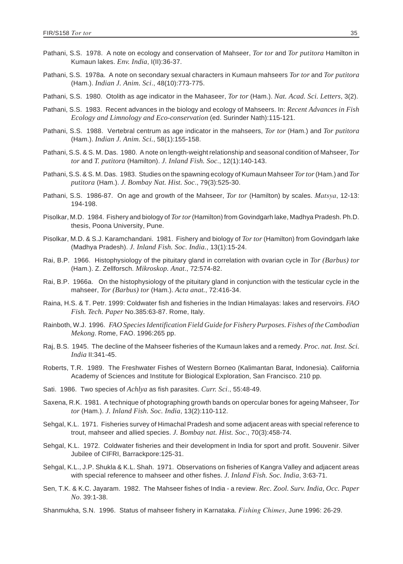- Pathani, S.S. 1978. A note on ecology and conservation of Mahseer, *Tor tor* and *Tor putitora* Hamilton in Kumaun lakes. *Env. In dia*, I(II):36-37.
- Pathani, S.S. 1978a. A note on secondary sexual characters in Kumaun mahseers *Tor tor* and *Tor putitora* (Ham.). *In dian J. Anim. Sci*., 48(10):773-775.
- Pathani, S.S. 1980. Otolith as age indicator in the Mahaseer, *Tor tor* (Ham.). *Nat. Acad. Sci. Letters*, 3(2).
- Pathani, S.S. 1983. Recent advances in the biology and ecology of Mahseers. In: *Recent Advances in Fish Ecol ogy and Lim nol ogy and Eco-con ser va tion* (ed. Surinder Nath):115-121.
- Pathani, S.S. 1988. Vertebral centrum as age indicator in the mahseers, *Tor tor* (Ham.) and *Tor putitora* (Ham.). *Indian J. Anim. Sci.*, 58(1):155-158.
- Pathani, S.S. & S. M. Das. 1980. A note on length-weight relationship and seasonal condition of Mahseer, *Tor tor* and *T. putitora* (Hamilton). *J. Inland Fish. Soc.*, 12(1):140-143.
- Pathani, S.S. & S. M. Das. 1983. Studies on the spawning ecology of Kumaun Mahseer *Tor tor* (Ham.) and *Tor putitora* (Ham.). *J. Bom bay Nat. Hist. Soc*., 79(3):525-30.
- Pathani, S.S. 1986-87. On age and growth of the Mahseer, *Tor tor* (Hamilton) by scales. *Matsya*, 12-13: 194-198.
- Pisolkar, M.D. 1984. Fishery and biology of *Tor tor* (Hamilton) from Govindgarh lake, Madhya Pradesh. Ph.D. thesis, Poona University, Pune.
- Pisolkar, M.D. & S.J. Karamchandani. 1981. Fishery and biology of *Tor tor* (Hamilton) from Govindgarh lake (Madhya Pradesh). *J. In land Fish. Soc. In dia.*, 13(1):15-24.
- Rai, B.P. 1966. Histophysiology of the pituitary gland in correlation with ovarian cycle in *Tor (Barbus) tor* (Ham.). Z. Zellforsch. *Mikroskop. Anat*., 72:574-82.
- Rai, B.P. 1966a. On the histophysiology of the pituitary gland in conjunction with the testicular cycle in the mahseer, *Tor (Barbus) tor* (Ham.). *Acta anat.*, 72:416-34.
- Raina, H.S. & T. Petr. 1999: Coldwater fish and fisheries in the Indian Himalayas: lakes and reservoirs. *FAO* Fish. Tech. Paper No.385:63-87. Rome, Italy.
- Rainboth, W.J. 1996. *FAO Species Identification Field Guide for Fishery Purposes. Fishes of the Cambodian Me kong*. Rome, FAO. 1996:265 pp.
- Raj, B.S. 1945. The decline of the Mahseer fisheries of the Kumaun lakes and a remedy. *Proc. nat. Inst. Sci. In dia* II:341-45.
- Roberts, T.R. 1989. The Freshwater Fishes of Western Borneo (Kalimantan Barat, Indonesia). California Academy of Sciences and Institute for Biological Exploration, San Francisco. 210 pp.
- Sati. 1986. Two species of *Achlya* as fish parasites. *Curr. Sci.*, 55:48-49.
- Saxena, R.K. 1981. A technique of photographing growth bands on opercular bones for ageing Mahseer, *Tor tor* (Ham.). *J. In land Fish. Soc. In dia*, 13(2):110-112.
- Sehgal, K.L. 1971. Fisheries survey of Himachal Pradesh and some adjacent areas with special reference to trout, mahseer and allied species. *J. Bombay nat. Hist. Soc.*, 70(3):458-74.
- Sehgal, K.L. 1972. Coldwater fisheries and their development in India for sport and profit. Souvenir. Silver Jubilee of CIFRI, Barrackpore: 125-31.
- Sehgal, K.L., J.P. Shukla & K.L. Shah. 1971. Observations on fisheries of Kangra Valley and adjacent areas with special reference to mahseer and other fishes. *J. Inland Fish. Soc. India*, 3:63-71.
- Sen, T.K. & K.C. Jayaram. 1982. The Mahseer fishes of India a review. *Rec. Zool. Surv. India, Occ. Paper No*. 39:1-38.
- Shanmukha, S.N. 1996. Status of mahseer fishery in Karnataka. *Fishing Chimes*, June 1996: 26-29.